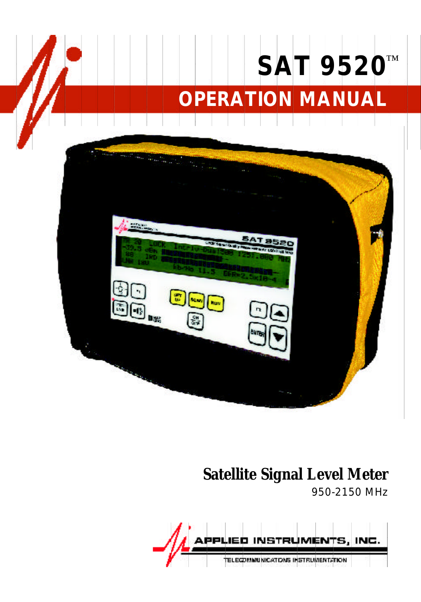## **OPERATION MANUAL SAT 9520** ™



#### **Satellite Signal Level Meter**

950-2150 MHz

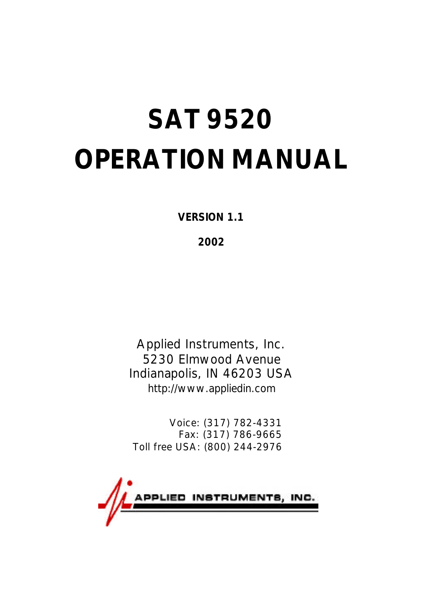# **SAT 9520 OPERATION MANUAL**

**VERSION 1.1**

**2002**

Applied Instruments, Inc. 5230 Elmwood Avenue Indianapolis, IN 46203 USA http://www.appliedin.com

Voice: (317) 782-4331 Fax: (317) 786-9665 Toll free USA: (800) 244-2976

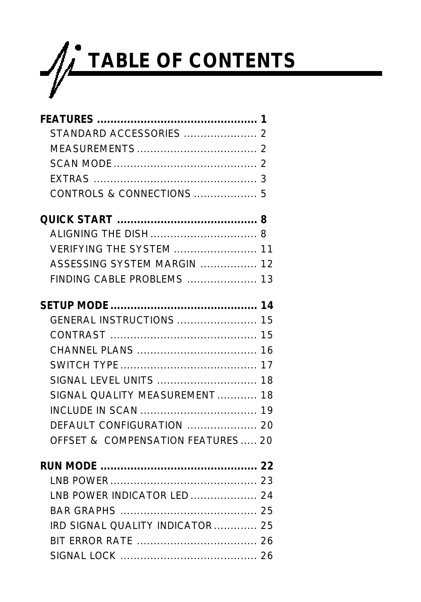

| STANDARD ACCESSORIES  2           |  |
|-----------------------------------|--|
|                                   |  |
|                                   |  |
|                                   |  |
|                                   |  |
|                                   |  |
|                                   |  |
| <b>VERIFYING THE SYSTEM  11</b>   |  |
| ASSESSING SYSTEM MARGIN  12       |  |
| FINDING CABLE PROBLEMS  13        |  |
|                                   |  |
| GENERAL INSTRUCTIONS  15          |  |
|                                   |  |
|                                   |  |
|                                   |  |
|                                   |  |
| SIGNAL OUALITY MEASUREMENT 18     |  |
|                                   |  |
|                                   |  |
| OFFSET & COMPENSATION FEATURES 20 |  |
|                                   |  |
|                                   |  |
| LNB POWER INDICATOR LED  24       |  |
|                                   |  |
| IRD SIGNAL QUALITY INDICATOR  25  |  |
|                                   |  |
|                                   |  |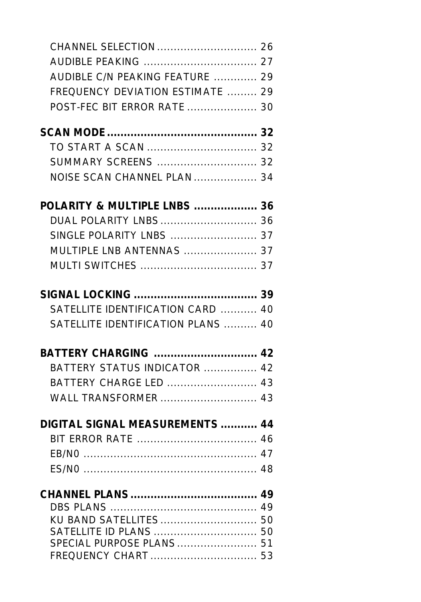| AUDIBLE C/N PEAKING FEATURE  29    |  |
|------------------------------------|--|
| FREQUENCY DEVIATION ESTIMATE  29   |  |
| POST-FEC BIT ERROR RATE  30        |  |
|                                    |  |
|                                    |  |
| SUMMARY SCREENS  32                |  |
| NOISE SCAN CHANNEL PLAN  34        |  |
|                                    |  |
| POLARITY & MULTIPLE LNBS  36       |  |
|                                    |  |
|                                    |  |
| MULTIPLE LNB ANTENNAS  37          |  |
|                                    |  |
|                                    |  |
|                                    |  |
| SATELLITE IDENTIFICATION CARD  40  |  |
| SATELLITE IDENTIFICATION PLANS  40 |  |
| BATTERY CHARGING  42               |  |
| BATTERY STATUS INDICATOR  42       |  |
|                                    |  |
|                                    |  |
| DIGITAL SIGNAL MEASUREMENTS  44    |  |
|                                    |  |
|                                    |  |
|                                    |  |
|                                    |  |
|                                    |  |
| KU BAND SATELLITES  50             |  |
| SATELLITE ID PLANS  50             |  |
| SPECIAL PURPOSE PLANS  51          |  |
| FREQUENCY CHART  53                |  |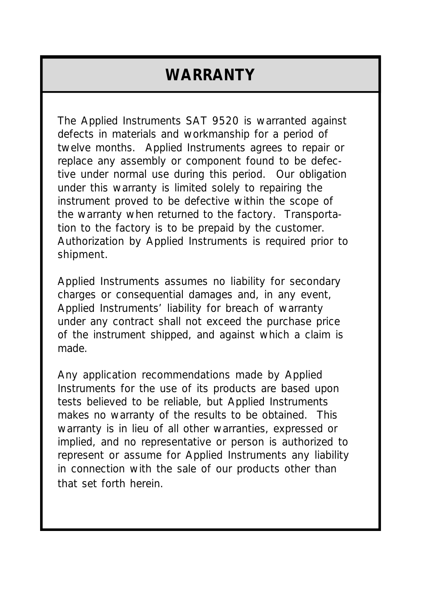#### **WARRANTY**

The Applied Instruments SAT 9520 is warranted against defects in materials and workmanship for a period of twelve months. Applied Instruments agrees to repair or replace any assembly or component found to be defective under normal use during this period. Our obligation under this warranty is limited solely to repairing the instrument proved to be defective within the scope of the warranty when returned to the factory. Transportation to the factory is to be prepaid by the customer. Authorization by Applied Instruments is required prior to shipment.

Applied Instruments assumes no liability for secondary charges or consequential damages and, in any event, Applied Instruments' liability for breach of warranty under any contract shall not exceed the purchase price of the instrument shipped, and against which a claim is made.

Any application recommendations made by Applied Instruments for the use of its products are based upon tests believed to be reliable, but Applied Instruments makes no warranty of the results to be obtained. This warranty is in lieu of all other warranties, expressed or implied, and no representative or person is authorized to represent or assume for Applied Instruments any liability in connection with the sale of our products other than that set forth herein.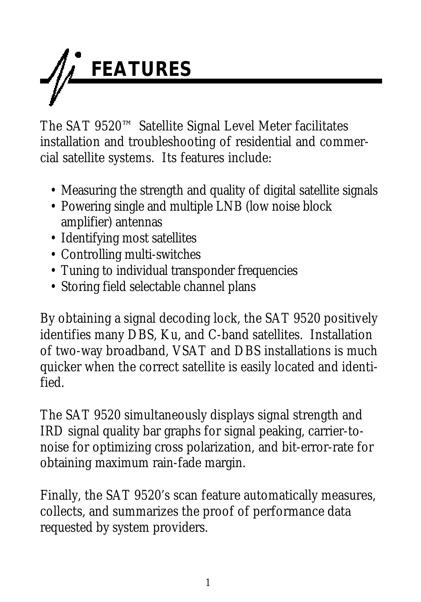

The SAT 9520™ Satellite Signal Level Meter facilitates installation and troubleshooting of residential and commercial satellite systems. Its features include:

- Measuring the strength and quality of digital satellite signals
- Powering single and multiple LNB (low noise block amplifier) antennas
- Identifying most satellites
- Controlling multi-switches
- Tuning to individual transponder frequencies
- Storing field selectable channel plans

By obtaining a signal decoding lock, the SAT 9520 positively identifies many DBS, Ku, and C-band satellites. Installation of two-way broadband, VSAT and DBS installations is much quicker when the correct satellite is easily located and identified.

The SAT 9520 simultaneously displays signal strength and IRD signal quality bar graphs for signal peaking, carrier-tonoise for optimizing cross polarization, and bit-error-rate for obtaining maximum rain-fade margin.

Finally, the SAT 9520's scan feature automatically measures, collects, and summarizes the proof of performance data requested by system providers.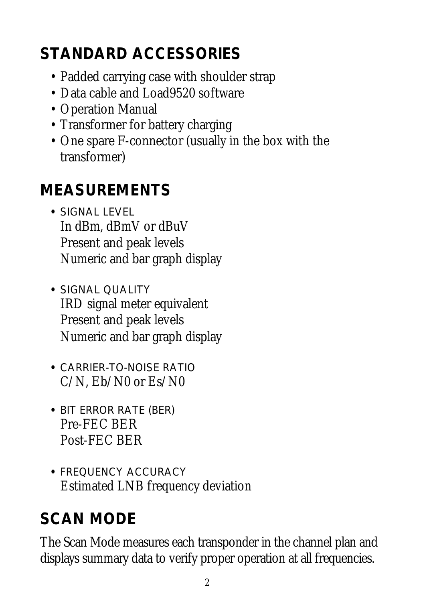## **STANDARD ACCESSORIES**

- Padded carrying case with shoulder strap
- Data cable and Load9520 software
- Operation Manual
- Transformer for battery charging
- One spare F-connector (usually in the box with the transformer)

#### **MEASUREMENTS**

- **•** SIGNAL LEVEL In dBm, dBmV or dBuV Present and peak levels Numeric and bar graph display
- **•** SIGNAL QUALITY IRD signal meter equivalent Present and peak levels Numeric and bar graph display
- **•** CARRIER-TO-NOISE RATIO C/N, Eb/N0 or Es/N0
- **•** BIT ERROR RATE (BER) Pre-FEC BER Post-FEC BER
- **•** FREQUENCY ACCURACY Estimated LNB frequency deviation

## **SCAN MODE**

The Scan Mode measures each transponder in the channel plan and displays summary data to verify proper operation at all frequencies.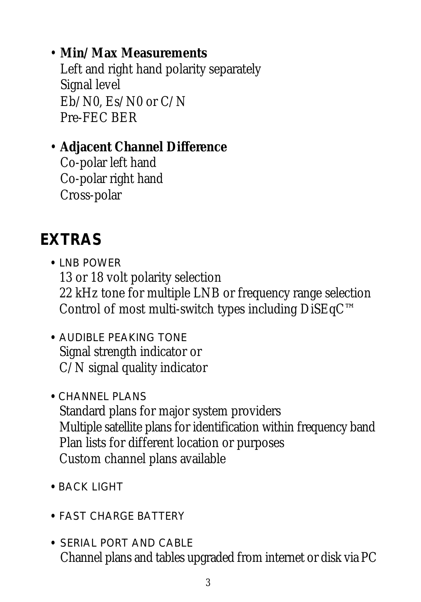#### • **Min/Max Measurements**

Left and right hand polarity separately Signal level Eb/N0, Es/N0 or C/N Pre-FEC BER

#### • **Adjacent Channel Difference**

Co-polar left hand Co-polar right hand Cross-polar

#### **EXTRAS**

- **•** LNB POWER 13 or 18 volt polarity selection 22 kHz tone for multiple LNB or frequency range selection Control of most multi-switch types including DiSEqC™
- **•** AUDIBLE PEAKING TONE Signal strength indicator or C/N signal quality indicator
- **•** CHANNEL PLANS Standard plans for major system providers Multiple satellite plans for identification within frequency band Plan lists for different location or purposes Custom channel plans available
- **•** BACK LIGHT
- **•** FAST CHARGE BATTERY
- **•** SERIAL PORT AND CABLE Channel plans and tables upgraded from internet or disk via PC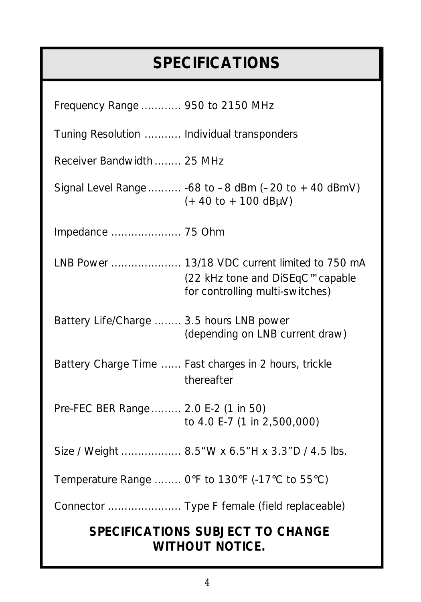## **SPECIFICATIONS**

| Frequency Range  950 to 2150 MHz                                                                                                  |  |  |
|-----------------------------------------------------------------------------------------------------------------------------------|--|--|
| Tuning Resolution  Individual transponders                                                                                        |  |  |
| Receiver Bandwidth  25 MHz                                                                                                        |  |  |
| Signal Level Range  -68 to $-8$ dBm ( $-20$ to $+40$ dBmV)<br>$(+40 \text{ to } +100 \text{ dB}\mu\text{V})$                      |  |  |
|                                                                                                                                   |  |  |
| LNB Power  13/18 VDC current limited to 750 mA<br>(22 kHz tone and DiSEqC <sup>™</sup> capable<br>for controlling multi-switches) |  |  |
| Battery Life/Charge  3.5 hours LNB power<br>(depending on LNB current draw)                                                       |  |  |
| Battery Charge Time  Fast charges in 2 hours, trickle<br>thereafter                                                               |  |  |
| Pre-FEC BER Range  2.0 E-2 (1 in 50)<br>to 4.0 E-7 (1 in 2,500,000)                                                               |  |  |
| Size / Weight  8.5"W x 6.5"H x 3.3"D / 4.5 lbs.                                                                                   |  |  |
| Temperature Range  O°F to 130°F (-17°C to 55°C)                                                                                   |  |  |
| Connector  Type F female (field replaceable)                                                                                      |  |  |
| <b>SPECIFICATIONS SUBJECT TO CHANGE</b><br><b>WITHOUT NOTICE.</b>                                                                 |  |  |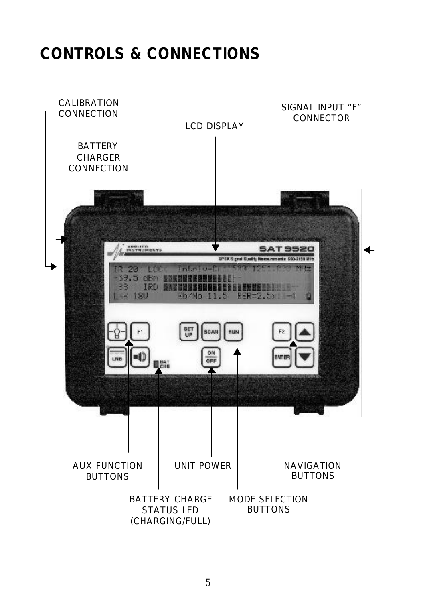#### **CONTROLS & CONNECTIONS**

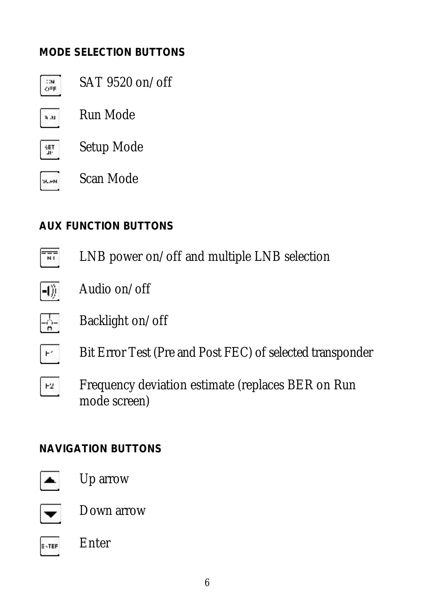#### **MODE SELECTION BUTTONS**

- SAT 9520 on/off  $\mathbf{H}$ OFF Run Mode u.e
- Setup Mode HET.



#### **AUX FUNCTION BUTTONS**

- $\frac{1}{\sqrt{2}}$ LNB power on/off and multiple LNB selection
- Audio on/off  $-1)$
- $-\frac{1}{n}$ Backlight on/off
- $\mathbb{H}^{k-1}$ Bit Error Test (Pre and Post FEC) of selected transponder
- Frequency deviation estimate (replaces BER on Run  $F2$ mode screen)

#### **NAVIGATION BUTTONS**



Up arrow



Down arrow

Enter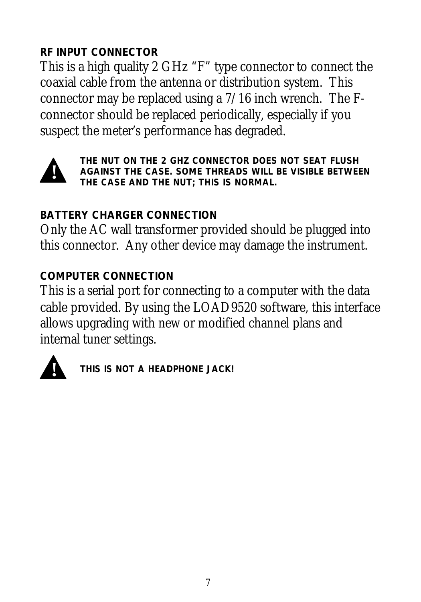#### **RF INPUT CONNECTOR**

This is a high quality 2 GHz "F" type connector to connect the coaxial cable from the antenna or distribution system. This connector may be replaced using a 7/16 inch wrench. The Fconnector should be replaced periodically, especially if you suspect the meter's performance has degraded.



*THE NUT ON THE 2 GHZ CONNECTOR DOES NOT SEAT FLUSH AGAINST THE CASE. SOME THREADS WILL BE VISIBLE BETWEEN THE CASE AND THE NUT; THIS IS NORMAL.*

#### **BATTERY CHARGER CONNECTION**

Only the AC wall transformer provided should be plugged into this connector. Any other device may damage the instrument.

#### **COMPUTER CONNECTION**

This is a serial port for connecting to a computer with the data cable provided. By using the LOAD9520 software, this interface allows upgrading with new or modified channel plans and internal tuner settings.



*THIS IS NOT A HEADPHONE JACK!* **!**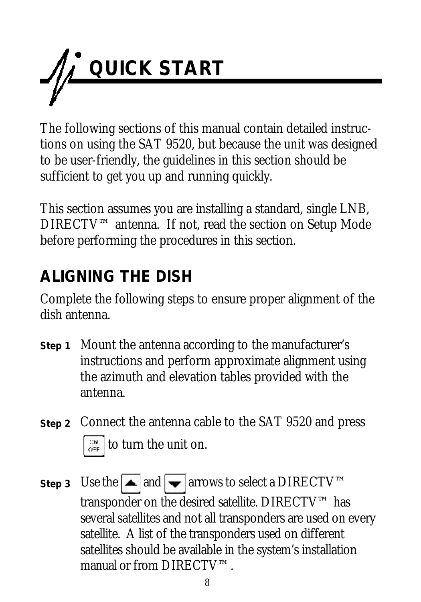

The following sections of this manual contain detailed instructions on using the SAT 9520, but because the unit was designed to be user-friendly, the guidelines in this section should be sufficient to get you up and running quickly.

This section assumes you are installing a standard, single LNB, DIRECTV™ antenna. If not, read the section on Setup Mode before performing the procedures in this section.

#### **ALIGNING THE DISH**

Complete the following steps to ensure proper alignment of the dish antenna.

- Mount the antenna according to the manufacturer's **Step 1** instructions and perform approximate alignment using the azimuth and elevation tables provided with the antenna.
- **Step 2** Connect the antenna cable to the SAT 9520 and press  $\frac{1}{\omega}$  to turn the unit on.
- Step 3 Use the  $\blacktriangle$  and  $\blacktriangledown$  arrows to select a DIRECTV<sup>™</sup> transponder on the desired satellite. DIRECTV™ has several satellites and not all transponders are used on every satellite. A list of the transponders used on different satellites should be available in the system's installation manual or from DIRECTV™.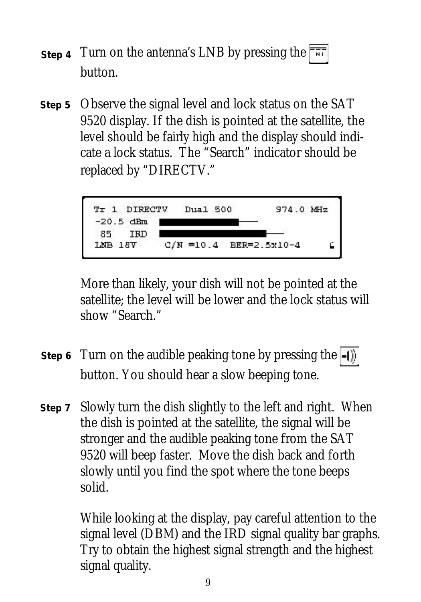- step 4 Turn on the antenna's LNB by pressing the NT. button.
- Observe the signal level and lock status on the SAT **Step 5** 9520 display. If the dish is pointed at the satellite, the level should be fairly high and the display should indicate a lock status. The "Search" indicator should be replaced by "DIRECTV."



More than likely, your dish will not be pointed at the satellite; the level will be lower and the lock status will show "Search."

- Step 6 Turn on the audible peaking tone by pressing the button. You should hear a slow beeping tone.
- Slowly turn the dish slightly to the left and right. When **Step 7**the dish is pointed at the satellite, the signal will be stronger and the audible peaking tone from the SAT 9520 will beep faster. Move the dish back and forth slowly until you find the spot where the tone beeps solid.

While looking at the display, pay careful attention to the signal level (DBM) and the IRD signal quality bar graphs. Try to obtain the highest signal strength and the highest signal quality.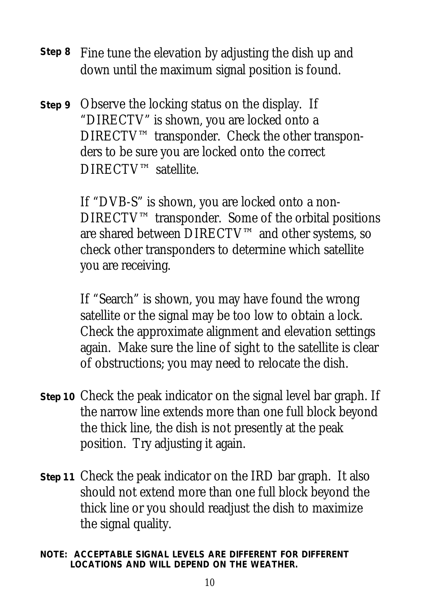- Fine tune the elevation by adjusting the dish up and **Step 8** down until the maximum signal position is found.
- **Step 9** Observe the locking status on the display. If "DIRECTV" is shown, you are locked onto a DIRECTV™ transponder. Check the other transponders to be sure you are locked onto the correct DIRECTV™ satellite.

If "DVB-S" is shown, you are locked onto a non-DIRECTV™ transponder. Some of the orbital positions are shared between DIRECTV™ and other systems, so check other transponders to determine which satellite you are receiving.

If "Search" is shown, you may have found the wrong satellite or the signal may be too low to obtain a lock. Check the approximate alignment and elevation settings again. Make sure the line of sight to the satellite is clear of obstructions; you may need to relocate the dish.

- **Step 10** Check the peak indicator on the signal level bar graph. If the narrow line extends more than one full block beyond the thick line, the dish is not presently at the peak position. Try adjusting it again.
- **Step 11** Check the peak indicator on the IRD bar graph. It also should not extend more than one full block beyond the thick line or you should readjust the dish to maximize the signal quality.
- *NOTE: ACCEPTABLE SIGNAL LEVELS ARE DIFFERENT FOR DIFFERENT LOCATIONS AND WILL DEPEND ON THE WEATHER.*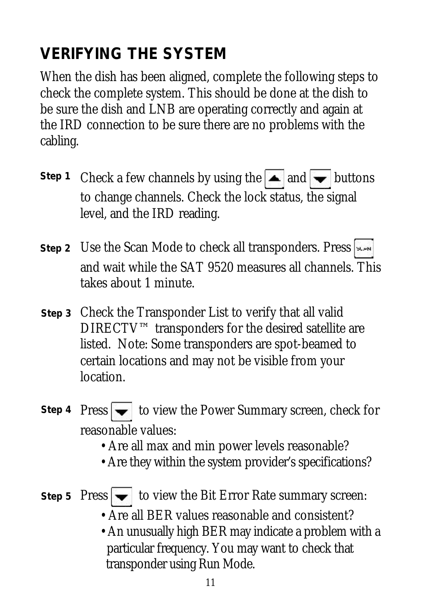#### **VERIFYING THE SYSTEM**

When the dish has been aligned, complete the following steps to check the complete system. This should be done at the dish to be sure the dish and LNB are operating correctly and again at the IRD connection to be sure there are no problems with the cabling.

- Step 1 Check a few channels by using the  $\blacktriangle$  and  $\blacktriangledown$  buttons to change channels. Check the lock status, the signal level, and the IRD reading.
- Use the Scan Mode to check all transponders. Press **Step 2** and wait while the SAT 9520 measures all channels. This takes about 1 minute.
- **Step 3** Check the Transponder List to verify that all valid DIRECTV™ transponders for the desired satellite are listed. Note: Some transponders are spot-beamed to certain locations and may not be visible from your location.
- Step 4 Press  $\blacktriangleright$  to view the Power Summary screen, check for reasonable values:
	- Are all max and min power levels reasonable?
	- Are they within the system provider's specifications?
- Step 5  $\text{Press} \rightarrow \text{to view}$  the Bit Error Rate summary screen:
	- Are all BER values reasonable and consistent?
	- An unusually high BER may indicate a problem with a particular frequency. You may want to check that transponder using Run Mode.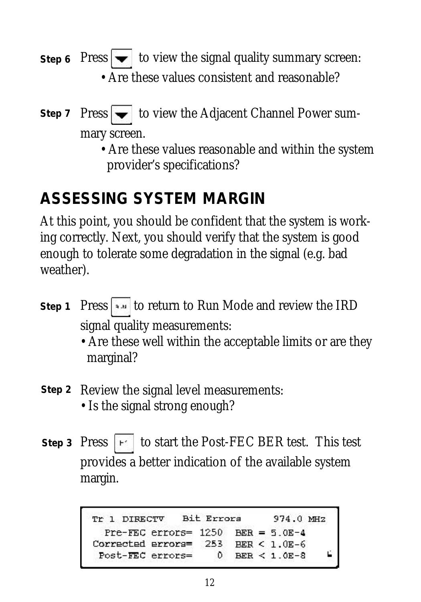- Step 6 Press  $\rightarrow$  to view the signal quality summary screen: • Are these values consistent and reasonable?
- Step 7  $\text{Press} \rightarrow \text{to view}$  the Adjacent Channel Power summary screen.
	- Are these values reasonable and within the system provider's specifications?

#### **ASSESSING SYSTEM MARGIN**

At this point, you should be confident that the system is working correctly. Next, you should verify that the system is good enough to tolerate some degradation in the signal (e.g. bad weather).

- **Step 1** Press  $\begin{bmatrix} \bullet & \bullet & \bullet \end{bmatrix}$  to return to Run Mode and review the IRD signal quality measurements:
	- Are these well within the acceptable limits or are they marginal?
- Step 2 Review the signal level measurements: • Is the signal strong enough?
- Step 3 Press  $\vert \cdot \vert$  to start the Post-FEC BER test. This test provides a better indication of the available system margin.

Tr 1 DIRECTV Bit Errors 974.0 MHZ Pre-FEC errors= 1250  $BER = 5.0E-4$ Corrected errors= 253 BER < 1.0E-6 Post-FEC errors=  $\mathbf{D}$ BER <  $1.0E-8$ Ľ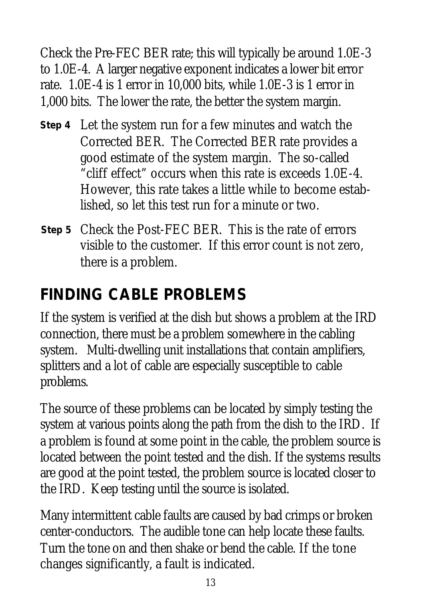Check the Pre-FEC BER rate; this will typically be around 1.0E-3 to 1.0E-4. A larger negative exponent indicates a lower bit error rate. 1.0E-4 is 1 error in 10,000 bits, while 1.0E-3 is 1 error in 1,000 bits. The lower the rate, the better the system margin.

- Let the system run for a few minutes and watch the **Step 4** Corrected BER. The Corrected BER rate provides a good estimate of the system margin. The so-called "cliff effect" occurs when this rate is exceeds 1.0E-4. However, this rate takes a little while to become established, so let this test run for a minute or two.
- Check the Post-FEC BER. This is the rate of errors **Step 5**visible to the customer. If this error count is not zero, there is a problem.

#### **FINDING CABLE PROBLEMS**

If the system is verified at the dish but shows a problem at the IRD connection, there must be a problem somewhere in the cabling system. Multi-dwelling unit installations that contain amplifiers, splitters and a lot of cable are especially susceptible to cable problems.

The source of these problems can be located by simply testing the system at various points along the path from the dish to the IRD. If a problem is found at some point in the cable, the problem source is located between the point tested and the dish. If the systems results are good at the point tested, the problem source is located closer to the IRD. Keep testing until the source is isolated.

Many intermittent cable faults are caused by bad crimps or broken center-conductors. The audible tone can help locate these faults. Turn the tone on and then shake or bend the cable. If the tone changes significantly, a fault is indicated.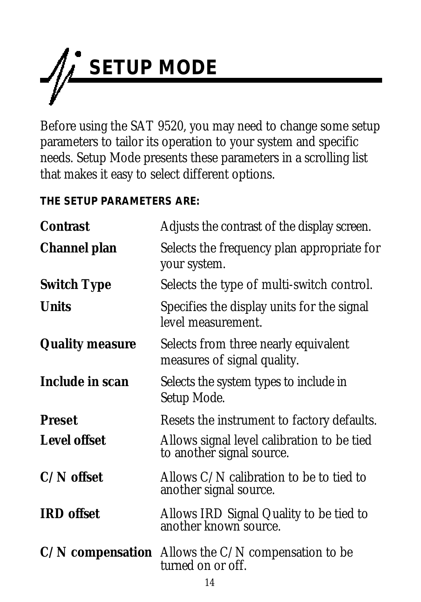

Before using the SAT 9520, you may need to change some setup parameters to tailor its operation to your system and specific needs. Setup Mode presents these parameters in a scrolling list that makes it easy to select different options.

**THE SETUP PARAMETERS ARE:**

| <b>Contrast</b>        | Adjusts the contrast of the display screen.                                 |
|------------------------|-----------------------------------------------------------------------------|
| Channel plan           | Selects the frequency plan appropriate for<br>your system.                  |
| <b>Switch Type</b>     | Selects the type of multi-switch control.                                   |
| <b>Units</b>           | Specifies the display units for the signal<br>level measurement.            |
| <b>Quality measure</b> | Selects from three nearly equivalent<br>measures of signal quality.         |
| Include in scan        | Selects the system types to include in<br>Setup Mode.                       |
| <b>Preset</b>          | Resets the instrument to factory defaults.                                  |
| <b>Level offset</b>    | Allows signal level calibration to be tied<br>to another signal source.     |
| $C/N$ offset           | Allows $C/N$ calibration to be to tied to<br>another signal source.         |
| <b>IRD</b> offset      | Allows IRD Signal Quality to be tied to<br>another known source.            |
|                        | $C/N$ compensation Allows the $C/N$ compensation to be<br>turned on or off. |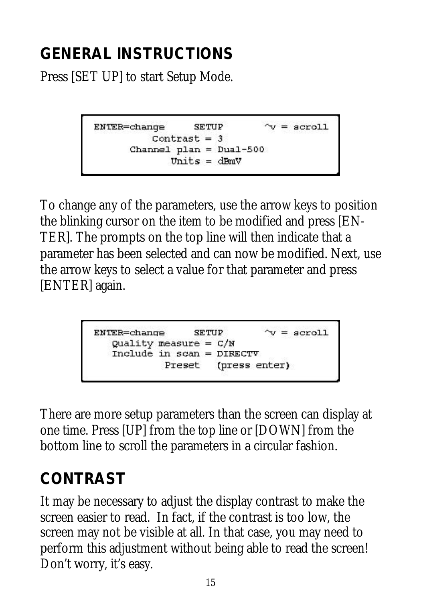## **GENERAL INSTRUCTIONS**

Press [SET UP] to start Setup Mode.

```
ENTER=change
                 SETUP
                              \gamma = acroll
         Contrast = 3Channel plan = Dual-500
            units = dEmV
```
To change any of the parameters, use the arrow keys to position the blinking cursor on the item to be modified and press [EN-TER]. The prompts on the top line will then indicate that a parameter has been selected and can now be modified. Next, use the arrow keys to select a value for that parameter and press [ENTER] again.

```
ENTER =change
                 SETUP
                               \mathbf{v} = acroll
  Quality measure = C/NInclude in scan = DIRECTV
            Preset (press enter)
```
There are more setup parameters than the screen can display at one time. Press [UP] from the top line or [DOWN] from the bottom line to scroll the parameters in a circular fashion.

## **CONTRAST**

It may be necessary to adjust the display contrast to make the screen easier to read. In fact, if the contrast is too low, the screen may not be visible at all. In that case, you may need to perform this adjustment without being able to read the screen! Don't worry, it's easy.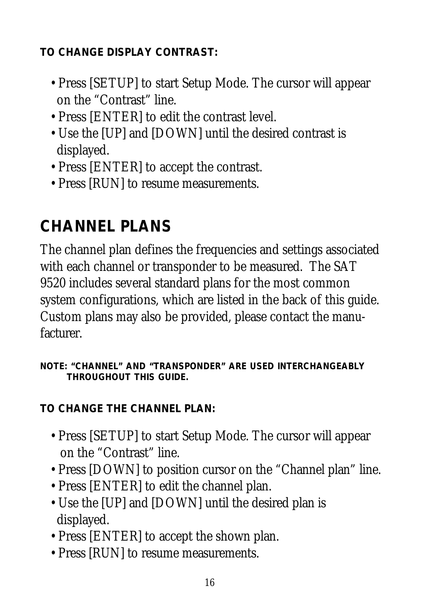**TO CHANGE DISPLAY CONTRAST:**

- Press [SETUP] to start Setup Mode. The cursor will appear on the "Contrast" line.
- Press [ENTER] to edit the contrast level.
- Use the [UP] and [DOWN] until the desired contrast is displayed.
- Press [ENTER] to accept the contrast.
- Press [RUN] to resume measurements.

## **CHANNEL PLANS**

The channel plan defines the frequencies and settings associated with each channel or transponder to be measured. The SAT 9520 includes several standard plans for the most common system configurations, which are listed in the back of this guide. Custom plans may also be provided, please contact the manufacturer.

*NOTE: "CHANNEL" AND "TRANSPONDER" ARE USED INTERCHANGEABLY THROUGHOUT THIS GUIDE.*

**TO CHANGE THE CHANNEL PLAN:**

- Press [SETUP] to start Setup Mode. The cursor will appear on the "Contrast" line.
- Press [DOWN] to position cursor on the "Channel plan" line.
- Press [ENTER] to edit the channel plan.
- Use the [UP] and [DOWN] until the desired plan is displayed.
- Press [ENTER] to accept the shown plan.
- Press [RUN] to resume measurements.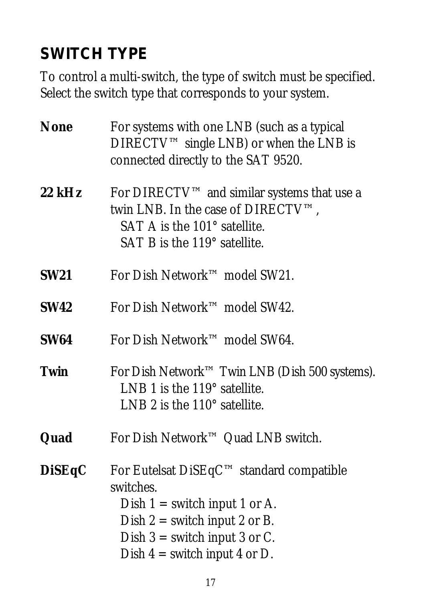#### **SWITCH TYPE**

To control a multi-switch, the type of switch must be specified. Select the switch type that corresponds to your system.

| <b>None</b>   | For systems with one LNB (such as a typical<br>DIRECTV™ single LNB) or when the LNB is<br>connected directly to the SAT 9520.                                                                     |
|---------------|---------------------------------------------------------------------------------------------------------------------------------------------------------------------------------------------------|
| $22$ kHz      | For DIRECTV™ and similar systems that use a<br>twin LNB. In the case of DIRECTV™,<br>SAT A is the 101° satellite.<br>SAT B is the 119° satellite.                                                 |
| <b>SW21</b>   | For Dish Network™ model SW21.                                                                                                                                                                     |
| <b>SW42</b>   | For Dish Network <sup>™</sup> model SW42.                                                                                                                                                         |
| <b>SW64</b>   | For Dish Network <sup>™</sup> model SW64.                                                                                                                                                         |
| Twin          | For Dish Network <sup>™</sup> Twin LNB (Dish 500 systems).<br>LNB 1 is the $119^\circ$ satellite.<br>LNB 2 is the 110° satellite.                                                                 |
| Quad          | For Dish Network™ Quad LNB switch.                                                                                                                                                                |
| <b>DiSEqC</b> | For Eutelsat DiSEqC™ standard compatible<br>switches.<br>Dish $1 =$ switch input 1 or A.<br>Dish $2 =$ switch input 2 or B.<br>Dish $3$ = switch input 3 or C.<br>Dish $4 =$ switch input 4 or D. |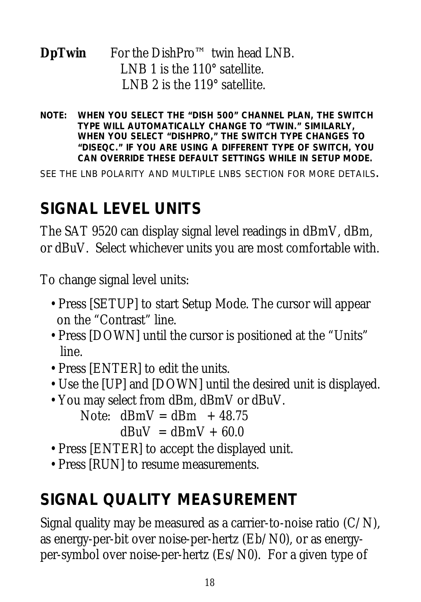#### **DpTwin** For the DishPro™ twin head LNB. LNB 1 is the 110° satellite. LNB 2 is the 119° satellite.

*NOTE: WHEN YOU SELECT THE "DISH 500" CHANNEL PLAN, THE SWITCH TYPE WILL AUTOMATICALLY CHANGE TO "TWIN." SIMILARLY, WHEN YOU SELECT "DISHPRO," THE SWITCH TYPE CHANGES TO "DISEQC." IF YOU ARE USING A DIFFERENT TYPE OF SWITCH, YOU CAN OVERRIDE THESE DEFAULT SETTINGS WHILE IN SETUP MODE.*

*SEE THE LNB POLARITY AND MULTIPLE LNBS SECTION FOR MORE DETAILS.*

#### **SIGNAL LEVEL UNITS**

The SAT 9520 can display signal level readings in dBmV, dBm, or dBuV. Select whichever units you are most comfortable with.

To change signal level units:

- Press [SETUP] to start Setup Mode. The cursor will appear on the "Contrast" line.
- Press [DOWN] until the cursor is positioned at the "Units" line.
- Press [ENTER] to edit the units.
- Use the [UP] and [DOWN] until the desired unit is displayed.
- You may select from dBm, dBmV or dBuV.

Note:  $dBmV = dBm + 48.75$  $dBuV = dBmV + 60.0$ 

- Press [ENTER] to accept the displayed unit.
- Press [RUN] to resume measurements.

## **SIGNAL QUALITY MEASUREMENT**

Signal quality may be measured as a carrier-to-noise ratio  $(C/N)$ , as energy-per-bit over noise-per-hertz (Eb/N0), or as energyper-symbol over noise-per-hertz (Es/N0). For a given type of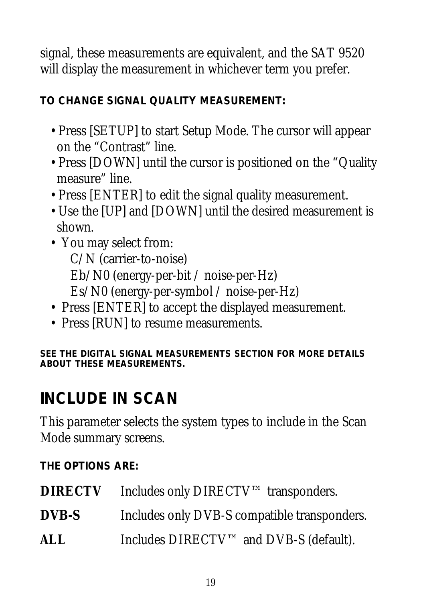signal, these measurements are equivalent, and the SAT 9520 will display the measurement in whichever term you prefer.

#### **TO CHANGE SIGNAL QUALITY MEASUREMENT:**

- Press [SETUP] to start Setup Mode. The cursor will appear on the "Contrast" line.
- Press [DOWN] until the cursor is positioned on the "Quality measure" line.
- Press [ENTER] to edit the signal quality measurement.
- Use the [UP] and [DOWN] until the desired measurement is shown.
- You may select from: C/N (carrier-to-noise) Eb/N0 (energy-per-bit / noise-per-Hz) Es/N0 (energy-per-symbol / noise-per-Hz)
- Press [ENTER] to accept the displayed measurement.
- Press [RUN] to resume measurements.

*SEE THE DIGITAL SIGNAL MEASUREMENTS SECTION FOR MORE DETAILS ABOUT THESE MEASUREMENTS.*

#### **INCLUDE IN SCAN**

This parameter selects the system types to include in the Scan Mode summary screens.

**THE OPTIONS ARE:**

| <b>DIRECTV</b> | Includes only DIRECTV™ transponders.         |
|----------------|----------------------------------------------|
| <b>DVB-S</b>   | Includes only DVB-S compatible transponders. |
| ALL            | Includes DIRECTV™ and DVB-S (default).       |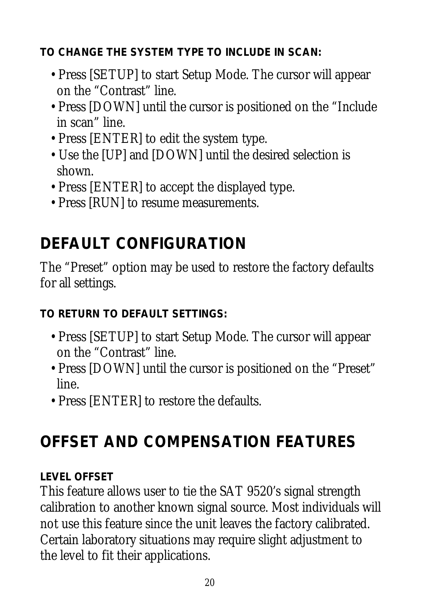**TO CHANGE THE SYSTEM TYPE TO INCLUDE IN SCAN:**

- Press [SETUP] to start Setup Mode. The cursor will appear on the "Contrast" line.
- Press [DOWN] until the cursor is positioned on the "Include in scan" line.
- Press [ENTER] to edit the system type.
- Use the [UP] and [DOWN] until the desired selection is shown.
- Press [ENTER] to accept the displayed type.
- Press [RUN] to resume measurements.

## **DEFAULT CONFIGURATION**

The "Preset" option may be used to restore the factory defaults for all settings.

**TO RETURN TO DEFAULT SETTINGS:**

- Press [SETUP] to start Setup Mode. The cursor will appear on the "Contrast" line.
- Press [DOWN] until the cursor is positioned on the "Preset" line.
- Press [ENTER] to restore the defaults.

## **OFFSET AND COMPENSATION FEATURES**

#### **LEVEL OFFSET**

This feature allows user to tie the SAT 9520's signal strength calibration to another known signal source. Most individuals will not use this feature since the unit leaves the factory calibrated. Certain laboratory situations may require slight adjustment to the level to fit their applications.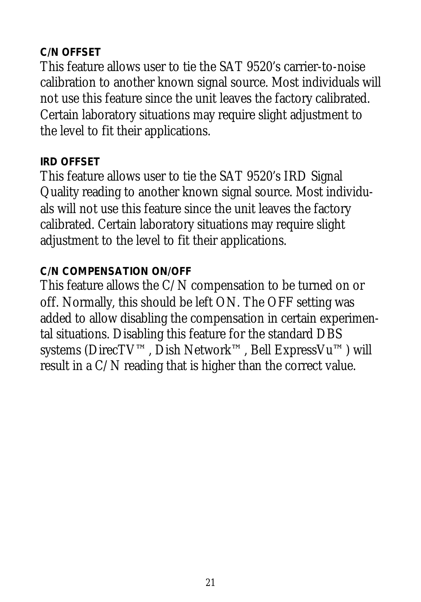#### **C/N OFFSET**

This feature allows user to tie the SAT 9520's carrier-to-noise calibration to another known signal source. Most individuals will not use this feature since the unit leaves the factory calibrated. Certain laboratory situations may require slight adjustment to the level to fit their applications.

#### **IRD OFFSET**

This feature allows user to tie the SAT 9520's IRD Signal Quality reading to another known signal source. Most individuals will not use this feature since the unit leaves the factory calibrated. Certain laboratory situations may require slight adjustment to the level to fit their applications.

#### **C/N COMPENSATION ON/OFF**

This feature allows the C/N compensation to be turned on or off. Normally, this should be left ON. The OFF setting was added to allow disabling the compensation in certain experimental situations. Disabling this feature for the standard DBS systems (DirecTV™, Dish Network™, Bell ExpressVu™) will result in a C/N reading that is higher than the correct value.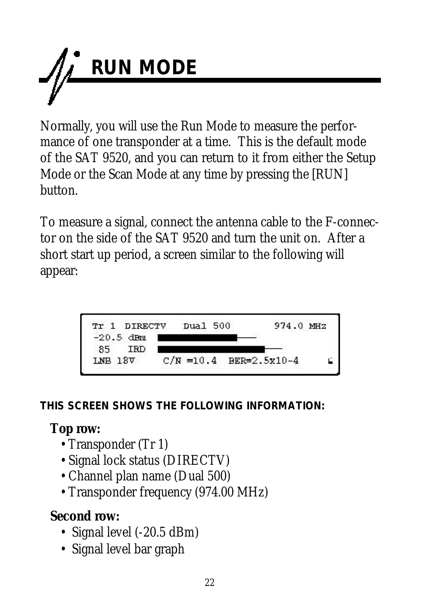

Normally, you will use the Run Mode to measure the performance of one transponder at a time. This is the default mode of the SAT 9520, and you can return to it from either the Setup Mode or the Scan Mode at any time by pressing the [RUN] button.

To measure a signal, connect the antenna cable to the F-connector on the side of the SAT 9520 and turn the unit on. After a short start up period, a screen similar to the following will appear:



**THIS SCREEN SHOWS THE FOLLOWING INFORMATION:**

#### **Top row:**

- Transponder (Tr 1)
- Signal lock status (DIRECTV)
- Channel plan name (Dual 500)
- Transponder frequency (974.00 MHz)

#### **Second row:**

- Signal level (-20.5 dBm)
- Signal level bar graph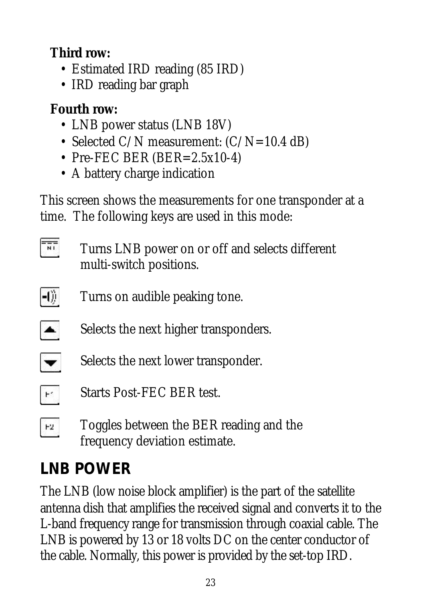#### **Third row:**

- Estimated IRD reading (85 IRD)
- IRD reading bar graph

#### **Fourth row:**

- LNB power status (LNB 18V)
- Selected C/N measurement:  $(C/N=10.4$  dB)
- Pre-FEC BER (BER=2.5x10-4)
- A battery charge indication

This screen shows the measurements for one transponder at a time. The following keys are used in this mode:

- $\frac{1}{\sqrt{2}}$ Turns LNB power on or off and selects different multi-switch positions.
- $-0)$ Turns on audible peaking tone.
- $\blacktriangle$ Selects the next higher transponders.
- $\overline{\phantom{0}}$ Selects the next lower transponder.
- Starts Post-FEC BER test.  $\mathbb{H}^*$
- Toggles between the BER reading and the  $E2$ frequency deviation estimate.

## **LNB POWER**

The LNB (low noise block amplifier) is the part of the satellite antenna dish that amplifies the received signal and converts it to the L-band frequency range for transmission through coaxial cable. The LNB is powered by 13 or 18 volts DC on the center conductor of the cable. Normally, this power is provided by the set-top IRD.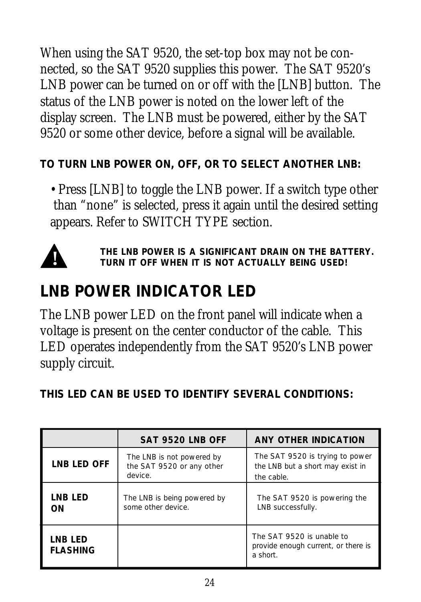When using the SAT 9520, the set-top box may not be connected, so the SAT 9520 supplies this power. The SAT 9520's LNB power can be turned on or off with the [LNB] button. The status of the LNB power is noted on the lower left of the display screen. The LNB must be powered, either by the SAT 9520 or some other device, before a signal will be available.

**TO TURN LNB POWER ON, OFF, OR TO SELECT ANOTHER LNB:**

• Press [LNB] to toggle the LNB power. If a switch type other than "none" is selected, press it again until the desired setting appears. Refer to SWITCH TYPE section.



*THE LNB POWER IS A SIGNIFICANT DRAIN ON THE BATTERY. TURN IT OFF WHEN IT IS NOT ACTUALLY BEING USED!*

#### **LNB POWER INDICATOR LED**

The LNB power LED on the front panel will indicate when a voltage is present on the center conductor of the cable. This LED operates independently from the SAT 9520's LNB power supply circuit.

**THIS LED CAN BE USED TO IDENTIFY SEVERAL CONDITIONS:**

|                            | SAT 9520 LNB OFF                                                  | ANY OTHER INDICATION                                                              |
|----------------------------|-------------------------------------------------------------------|-----------------------------------------------------------------------------------|
| <b>LNB LED OFF</b>         | The LNB is not powered by<br>the SAT 9520 or any other<br>device. | The SAT 9520 is trying to power<br>the LNB but a short may exist in<br>the cable. |
| LNB LED<br>ON              | The LNB is being powered by<br>some other device.                 | The SAT 9520 is powering the<br>LNB successfully.                                 |
| LNB LED<br><b>FLASHING</b> |                                                                   | The SAT 9520 is unable to<br>provide enough current, or there is<br>a short.      |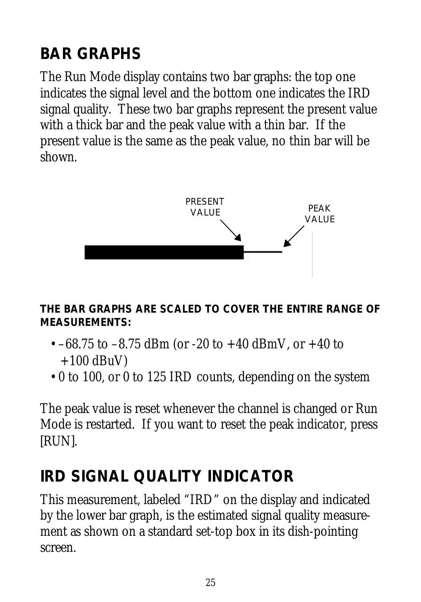## **BAR GRAPHS**

The Run Mode display contains two bar graphs: the top one indicates the signal level and the bottom one indicates the IRD signal quality. These two bar graphs represent the present value with a thick bar and the peak value with a thin bar. If the present value is the same as the peak value, no thin bar will be shown.



**THE BAR GRAPHS ARE SCALED TO COVER THE ENTIRE RANGE OF MEASUREMENTS:**

- $-68.75$  to  $-8.75$  dBm (or  $-20$  to  $+40$  dBmV, or  $+40$  to  $+100$  dBuV)
- 0 to 100, or 0 to 125 IRD counts, depending on the system

The peak value is reset whenever the channel is changed or Run Mode is restarted. If you want to reset the peak indicator, press [RUN].

#### **IRD SIGNAL QUALITY INDICATOR**

This measurement, labeled "IRD" on the display and indicated by the lower bar graph, is the estimated signal quality measurement as shown on a standard set-top box in its dish-pointing screen.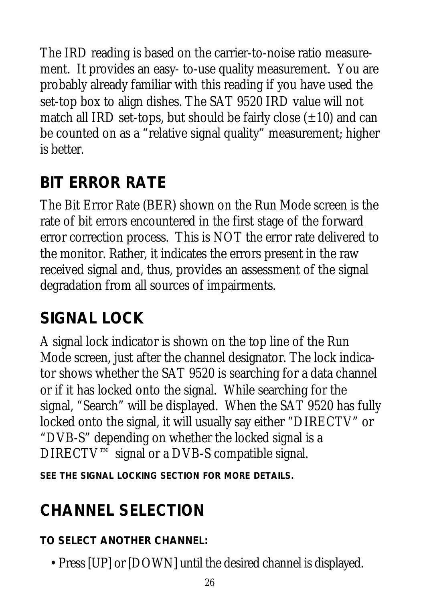The IRD reading is based on the carrier-to-noise ratio measurement. It provides an easy- to-use quality measurement. You are probably already familiar with this reading if you have used the set-top box to align dishes. The SAT 9520 IRD value will not match all IRD set-tops, but should be fairly close  $(\pm 10)$  and can be counted on as a "relative signal quality" measurement; higher is better.

## **BIT ERROR RATE**

The Bit Error Rate (BER) shown on the Run Mode screen is the rate of bit errors encountered in the first stage of the forward error correction process. This is NOT the error rate delivered to the monitor. Rather, it indicates the errors present in the raw received signal and, thus, provides an assessment of the signal degradation from all sources of impairments.

#### **SIGNAL LOCK**

A signal lock indicator is shown on the top line of the Run Mode screen, just after the channel designator. The lock indicator shows whether the SAT 9520 is searching for a data channel or if it has locked onto the signal. While searching for the signal, "Search" will be displayed. When the SAT 9520 has fully locked onto the signal, it will usually say either "DIRECTV" or "DVB-S" depending on whether the locked signal is a DIRECTV™ signal or a DVB-S compatible signal.

*SEE THE SIGNAL LOCKING SECTION FOR MORE DETAILS.*

## **CHANNEL SELECTION**

#### **TO SELECT ANOTHER CHANNEL:**

• Press [UP] or [DOWN] until the desired channel is displayed.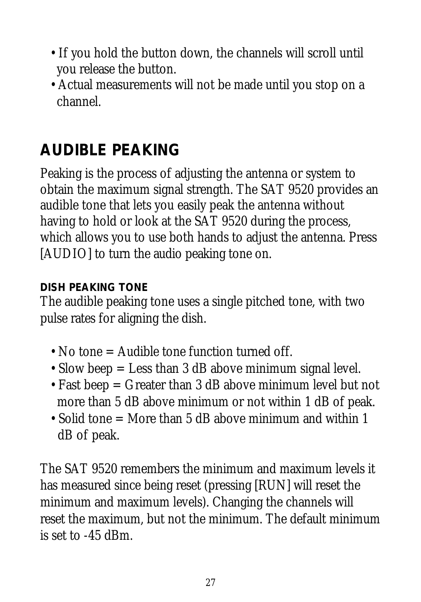- If you hold the button down, the channels will scroll until you release the button.
- Actual measurements will not be made until you stop on a channel.

## **AUDIBLE PEAKING**

Peaking is the process of adjusting the antenna or system to obtain the maximum signal strength. The SAT 9520 provides an audible tone that lets you easily peak the antenna without having to hold or look at the SAT 9520 during the process, which allows you to use both hands to adjust the antenna. Press [AUDIO] to turn the audio peaking tone on.

#### **DISH PEAKING TONE**

The audible peaking tone uses a single pitched tone, with two pulse rates for aligning the dish.

- No tone = Audible tone function turned off.
- Slow beep = Less than 3 dB above minimum signal level.
- Fast beep = Greater than 3 dB above minimum level but not more than 5 dB above minimum or not within 1 dB of peak.
- Solid tone = More than 5 dB above minimum and within 1 dB of peak.

The SAT 9520 remembers the minimum and maximum levels it has measured since being reset (pressing [RUN] will reset the minimum and maximum levels). Changing the channels will reset the maximum, but not the minimum. The default minimum is set to -45 dBm.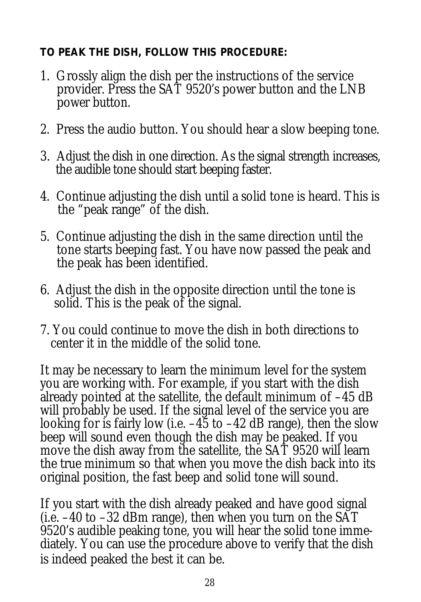#### **TO PEAK THE DISH, FOLLOW THIS PROCEDURE:**

- 1. Grossly align the dish per the instructions of the service provider. Press the SAT 9520's power button and the LNB power button.
- 2. Press the audio button. You should hear a slow beeping tone.
- 3. Adjust the dish in one direction. As the signal strength increases, the audible tone should start beeping faster.
- 4. Continue adjusting the dish until a solid tone is heard. This is the "peak range" of the dish.
- 5. Continue adjusting the dish in the same direction until the tone starts beeping fast. You have now passed the peak and the peak has been identified.
- 6. Adjust the dish in the opposite direction until the tone is solid. This is the peak of the signal.
- 7. You could continue to move the dish in both directions to center it in the middle of the solid tone.

It may be necessary to learn the minimum level for the system you are working with. For example, if you start with the dish already pointed at the satellite, the default minimum of –45 dB will probably be used. If the signal level of the service you are looking for is fairly low (i.e.  $-45$  to  $-42$  dB range), then the slow beep will sound even though the dish may be peaked. If you move the dish away from the satellite, the SAT 9520 will learn the true minimum so that when you move the dish back into its original position, the fast beep and solid tone will sound.

If you start with the dish already peaked and have good signal (i.e. –40 to –32 dBm range), then when you turn on the SAT 9520's audible peaking tone, you will hear the solid tone immediately. You can use the procedure above to verify that the dish is indeed peaked the best it can be.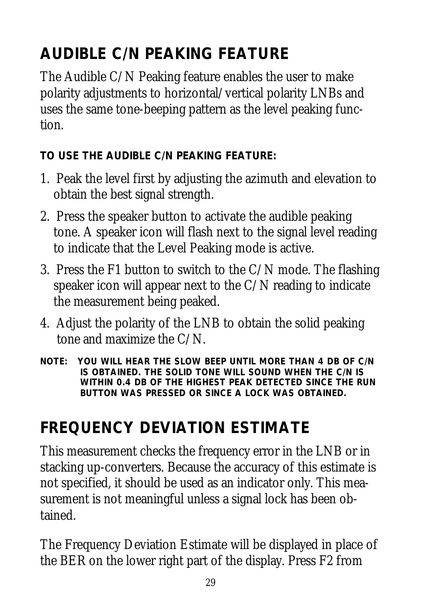## **AUDIBLE C/N PEAKING FEATURE**

The Audible C/N Peaking feature enables the user to make polarity adjustments to horizontal/vertical polarity LNBs and uses the same tone-beeping pattern as the level peaking function.

**TO USE THE AUDIBLE C/N PEAKING FEATURE:**

- 1. Peak the level first by adjusting the azimuth and elevation to obtain the best signal strength.
- 2. Press the speaker button to activate the audible peaking tone. A speaker icon will flash next to the signal level reading to indicate that the Level Peaking mode is active.
- 3. Press the F1 button to switch to the C/N mode. The flashing speaker icon will appear next to the C/N reading to indicate the measurement being peaked.
- 4. Adjust the polarity of the LNB to obtain the solid peaking tone and maximize the C/N.
- *NOTE: YOU WILL HEAR THE SLOW BEEP UNTIL MORE THAN 4 DB OF C/N IS OBTAINED. THE SOLID TONE WILL SOUND WHEN THE C/N IS WITHIN 0.4 DB OF THE HIGHEST PEAK DETECTED SINCE THE RUN BUTTON WAS PRESSED OR SINCE A LOCK WAS OBTAINED.*

## **FREQUENCY DEVIATION ESTIMATE**

This measurement checks the frequency error in the LNB or in stacking up-converters. Because the accuracy of this estimate is not specified, it should be used as an indicator only. This measurement is not meaningful unless a signal lock has been obtained.

The Frequency Deviation Estimate will be displayed in place of the BER on the lower right part of the display. Press F2 from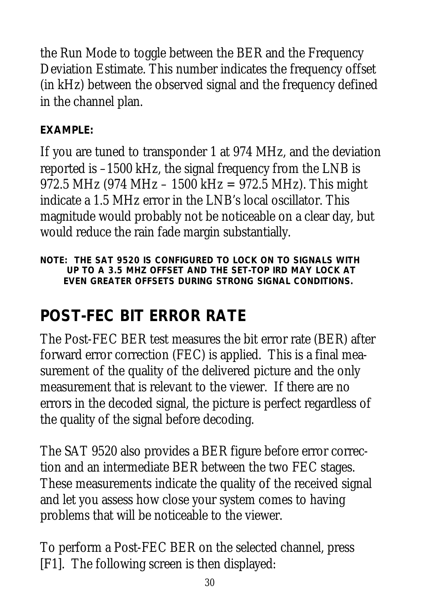the Run Mode to toggle between the BER and the Frequency Deviation Estimate. This number indicates the frequency offset (in kHz) between the observed signal and the frequency defined in the channel plan.

#### **EXAMPLE:**

If you are tuned to transponder 1 at 974 MHz, and the deviation reported is –1500 kHz, the signal frequency from the LNB is 972.5 MHz (974 MHz – 1500 kHz = 972.5 MHz). This might indicate a 1.5 MHz error in the LNB's local oscillator. This magnitude would probably not be noticeable on a clear day, but would reduce the rain fade margin substantially.

*NOTE: THE SAT 9520 IS CONFIGURED TO LOCK ON TO SIGNALS WITH UP TO A 3.5 MHZ OFFSET AND THE SET-TOP IRD MAY LOCK AT EVEN GREATER OFFSETS DURING STRONG SIGNAL CONDITIONS.*

## **POST-FEC BIT ERROR RATE**

The Post-FEC BER test measures the bit error rate (BER) after forward error correction (FEC) is applied. This is a final measurement of the quality of the delivered picture and the only measurement that is relevant to the viewer. If there are no errors in the decoded signal, the picture is perfect regardless of the quality of the signal before decoding.

The SAT 9520 also provides a BER figure before error correction and an intermediate BER between the two FEC stages. These measurements indicate the quality of the received signal and let you assess how close your system comes to having problems that will be noticeable to the viewer.

To perform a Post-FEC BER on the selected channel, press [F1]. The following screen is then displayed: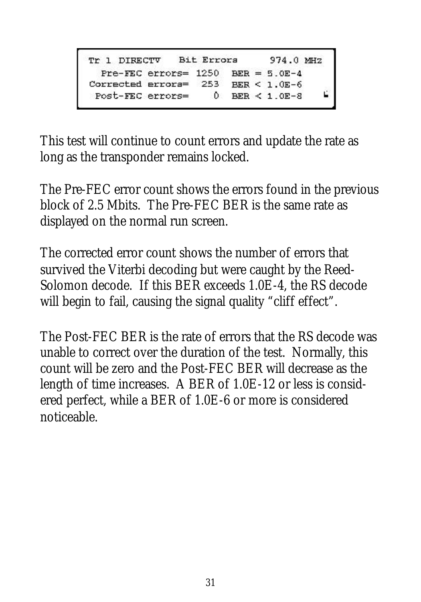```
Tr 1 DIRECTV Bit Errors
                            974.0 MHZ
 Pre-FEC errors= 1250 BER = 5.0E-4Corrected errors= 253 BER < 1.0E-6Ė,
Post-FEC errors= 0 BER < 1.0E-8
```
This test will continue to count errors and update the rate as long as the transponder remains locked.

The Pre-FEC error count shows the errors found in the previous block of 2.5 Mbits. The Pre-FEC BER is the same rate as displayed on the normal run screen.

The corrected error count shows the number of errors that survived the Viterbi decoding but were caught by the Reed-Solomon decode. If this BER exceeds 1.0E-4, the RS decode will begin to fail, causing the signal quality "cliff effect".

The Post-FEC BER is the rate of errors that the RS decode was unable to correct over the duration of the test. Normally, this count will be zero and the Post-FEC BER will decrease as the length of time increases. A BER of 1.0E-12 or less is considered perfect, while a BER of 1.0E-6 or more is considered noticeable.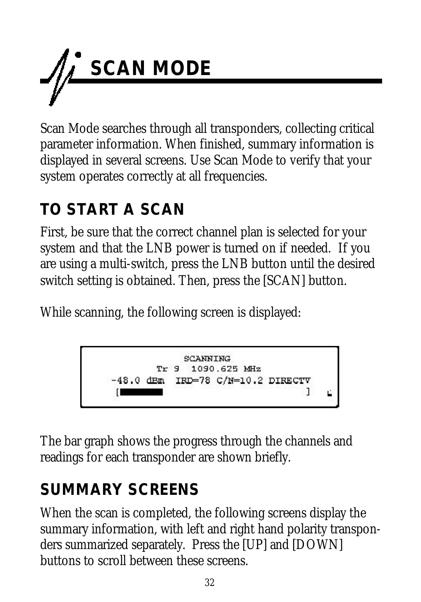

Scan Mode searches through all transponders, collecting critical parameter information. When finished, summary information is displayed in several screens. Use Scan Mode to verify that your system operates correctly at all frequencies.

## **TO START A SCAN**

First, be sure that the correct channel plan is selected for your system and that the LNB power is turned on if needed. If you are using a multi-switch, press the LNB button until the desired switch setting is obtained. Then, press the [SCAN] button.

While scanning, the following screen is displayed:

The bar graph shows the progress through the channels and readings for each transponder are shown briefly.

## **SUMMARY SCREENS**

When the scan is completed, the following screens display the summary information, with left and right hand polarity transponders summarized separately. Press the [UP] and [DOWN] buttons to scroll between these screens.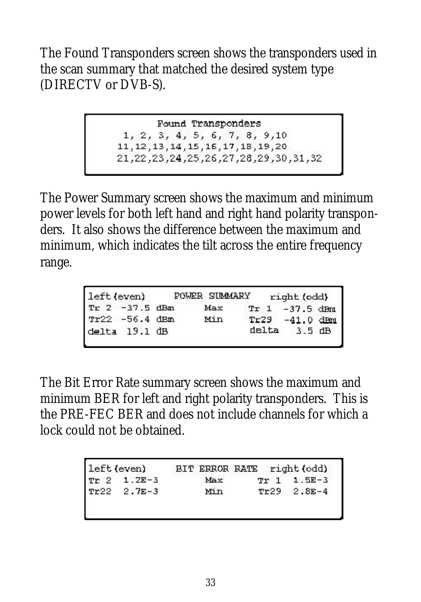The Found Transponders screen shows the transponders used in the scan summary that matched the desired system type (DIRECTV or DVB-S).

> Found Transponders 1, 2, 3, 4, 5, 6, 7, 8, 9, 10 11, 12, 13, 14, 15, 16, 17, 18, 19, 20 21, 22, 31, 32, 28, 27, 26, 26, 26, 24, 22, 22, 21

The Power Summary screen shows the maximum and minimum power levels for both left hand and right hand polarity transponders. It also shows the difference between the maximum and minimum, which indicates the tilt across the entire frequency range.

| left (even) |                | POWER SUMMARY | right (odd)       |  |
|-------------|----------------|---------------|-------------------|--|
|             | Tr 2 -37.5 dBm | Max           | $Tr 1 - 37.5$ dFm |  |
|             | Tr22 -56.4 dBm | Min           | Tr29 -41.0 dBm    |  |
|             | delta 19.1 dB  |               | $delta \t3.5 dB$  |  |
|             |                |               |                   |  |

The Bit Error Rate summary screen shows the maximum and minimum BER for left and right polarity transponders. This is the PRE-FEC BER and does not include channels for which a lock could not be obtained.

|                 |     | BIT ERROR RATE right (odd) |
|-----------------|-----|----------------------------|
| $TF$ 2 1.2E-3   | Max | Tr 1 1.5E-3                |
| $TP22 - 2.7E-3$ | Min | $Tr29$ 2.8E-4              |
|                 |     |                            |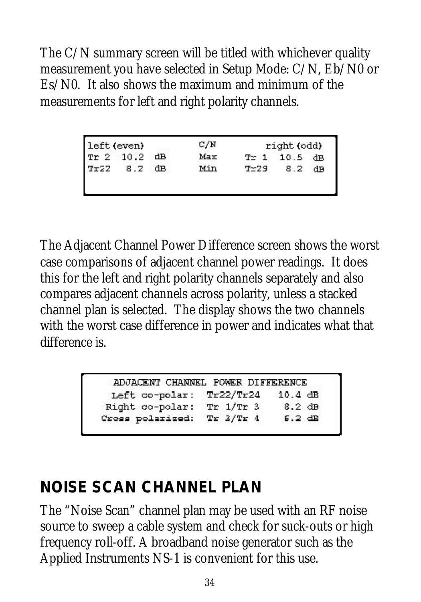The C/N summary screen will be titled with whichever quality measurement you have selected in Setup Mode: C/N, Eb/N0 or Es/N0. It also shows the maximum and minimum of the measurements for left and right polarity channels.

|               |          |            | right (odd)          |
|---------------|----------|------------|----------------------|
| $\mathbf{dB}$ |          |            |                      |
| dв            | $T = 29$ | 8.2        | dB                   |
|               |          | Max<br>Min | $T \simeq 1$ 10.5 dB |

The Adjacent Channel Power Difference screen shows the worst case comparisons of adjacent channel power readings. It does this for the left and right polarity channels separately and also compares adjacent channels across polarity, unless a stacked channel plan is selected. The display shows the two channels with the worst case difference in power and indicates what that difference is.

| ADJACENT CHANNEL POWER DIFFERENCE |           |                   |
|-----------------------------------|-----------|-------------------|
| Left co-polar: Tr22/Tr24          |           | $10.4 \text{ dB}$ |
| Right co-polar:                   | Tr 1/Tr 3 | $8.2$ dB          |
| Cross polarized:                  | Tr 3/Tr 4 | $6.2$ dB          |

#### **NOISE SCAN CHANNEL PLAN**

The "Noise Scan" channel plan may be used with an RF noise source to sweep a cable system and check for suck-outs or high frequency roll-off. A broadband noise generator such as the Applied Instruments NS-1 is convenient for this use.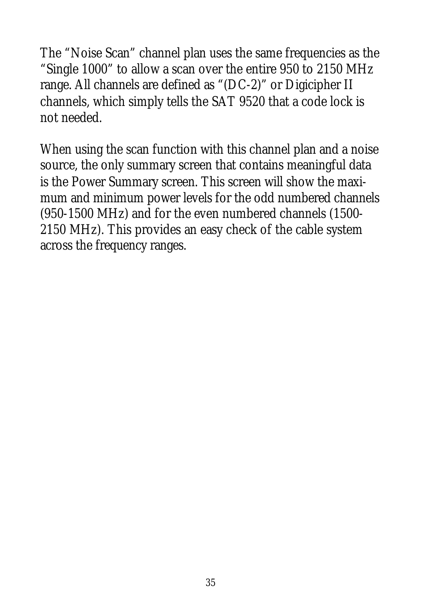The "Noise Scan" channel plan uses the same frequencies as the "Single 1000" to allow a scan over the entire 950 to 2150 MHz range. All channels are defined as "(DC-2)" or Digicipher II channels, which simply tells the SAT 9520 that a code lock is not needed.

When using the scan function with this channel plan and a noise source, the only summary screen that contains meaningful data is the Power Summary screen. This screen will show the maximum and minimum power levels for the odd numbered channels (950-1500 MHz) and for the even numbered channels (1500- 2150 MHz). This provides an easy check of the cable system across the frequency ranges.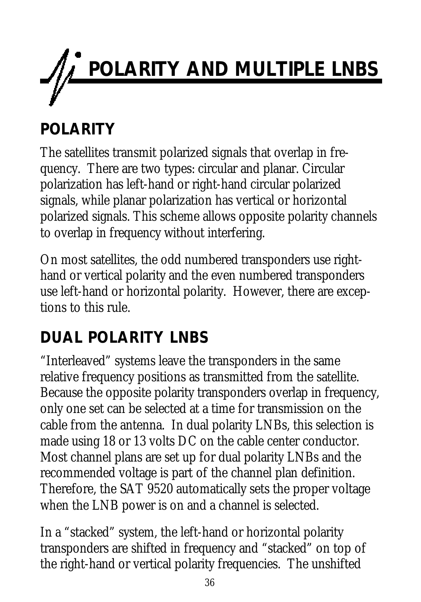

## **POLARITY**

The satellites transmit polarized signals that overlap in frequency. There are two types: circular and planar. Circular polarization has left-hand or right-hand circular polarized signals, while planar polarization has vertical or horizontal polarized signals. This scheme allows opposite polarity channels to overlap in frequency without interfering.

On most satellites, the odd numbered transponders use righthand or vertical polarity and the even numbered transponders use left-hand or horizontal polarity. However, there are exceptions to this rule.

## **DUAL POLARITY LNBS**

"Interleaved" systems leave the transponders in the same relative frequency positions as transmitted from the satellite. Because the opposite polarity transponders overlap in frequency, only one set can be selected at a time for transmission on the cable from the antenna. In dual polarity LNBs, this selection is made using 18 or 13 volts DC on the cable center conductor. Most channel plans are set up for dual polarity LNBs and the recommended voltage is part of the channel plan definition. Therefore, the SAT 9520 automatically sets the proper voltage when the LNB power is on and a channel is selected.

In a "stacked" system, the left-hand or horizontal polarity transponders are shifted in frequency and "stacked" on top of the right-hand or vertical polarity frequencies. The unshifted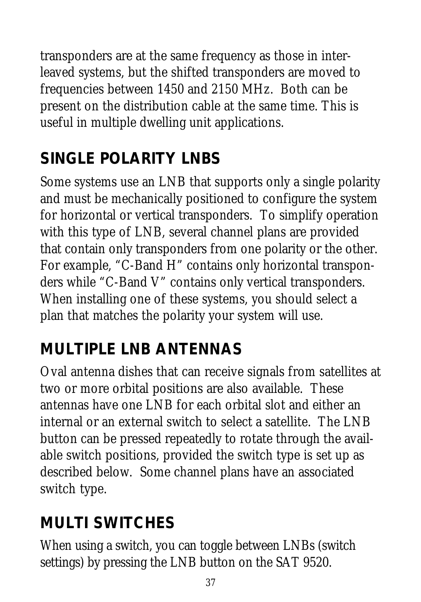transponders are at the same frequency as those in interleaved systems, but the shifted transponders are moved to frequencies between 1450 and 2150 MHz. Both can be present on the distribution cable at the same time. This is useful in multiple dwelling unit applications.

## **SINGLE POLARITY LNBS**

Some systems use an LNB that supports only a single polarity and must be mechanically positioned to configure the system for horizontal or vertical transponders. To simplify operation with this type of LNB, several channel plans are provided that contain only transponders from one polarity or the other. For example, "C-Band H" contains only horizontal transponders while "C-Band V" contains only vertical transponders. When installing one of these systems, you should select a plan that matches the polarity your system will use.

## **MULTIPLE LNB ANTENNAS**

Oval antenna dishes that can receive signals from satellites at two or more orbital positions are also available. These antennas have one LNB for each orbital slot and either an internal or an external switch to select a satellite. The LNB button can be pressed repeatedly to rotate through the available switch positions, provided the switch type is set up as described below. Some channel plans have an associated switch type.

#### **MULTI SWITCHES**

When using a switch, you can toggle between LNBs (switch settings) by pressing the LNB button on the SAT 9520.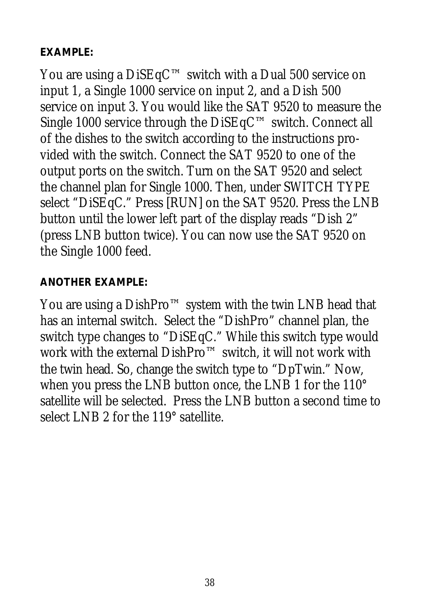#### **EXAMPLE:**

You are using a DiSEqC™ switch with a Dual 500 service on input 1, a Single 1000 service on input 2, and a Dish 500 service on input 3. You would like the SAT 9520 to measure the Single 1000 service through the DiSEqC™ switch. Connect all of the dishes to the switch according to the instructions provided with the switch. Connect the SAT 9520 to one of the output ports on the switch. Turn on the SAT 9520 and select the channel plan for Single 1000. Then, under SWITCH TYPE select "DiSEqC." Press [RUN] on the SAT 9520. Press the LNB button until the lower left part of the display reads "Dish 2" (press LNB button twice). You can now use the SAT 9520 on the Single 1000 feed.

#### **ANOTHER EXAMPLE:**

You are using a DishPro™ system with the twin LNB head that has an internal switch. Select the "DishPro" channel plan, the switch type changes to "DiSEqC." While this switch type would work with the external DishPro™ switch, it will not work with the twin head. So, change the switch type to "DpTwin." Now, when you press the LNB button once, the LNB 1 for the 110° satellite will be selected. Press the LNB button a second time to select LNB 2 for the 119° satellite.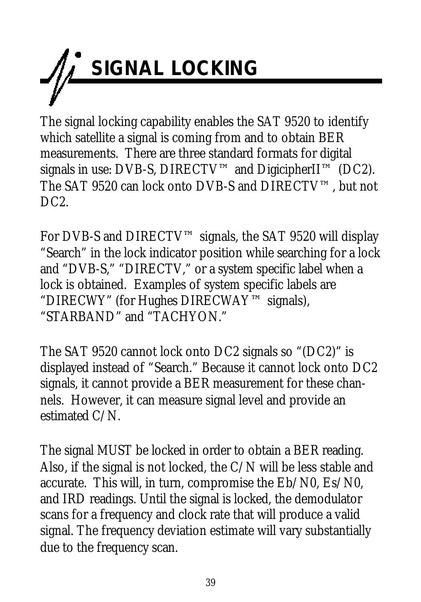

The signal locking capability enables the SAT 9520 to identify which satellite a signal is coming from and to obtain BER measurements. There are three standard formats for digital signals in use: DVB-S, DIRECTV<sup>™</sup> and DigicipherII<sup>™</sup> (DC2). The SAT 9520 can lock onto DVB-S and DIRECTV™, but not DC<sub>2</sub>.

For DVB-S and DIRECTV™ signals, the SAT 9520 will display "Search" in the lock indicator position while searching for a lock and "DVB-S," "DIRECTV," or a system specific label when a lock is obtained. Examples of system specific labels are "DIRECWY" (for Hughes DIRECWAY™ signals), "STARBAND" and "TACHYON."

The SAT 9520 cannot lock onto DC2 signals so "(DC2)" is displayed instead of "Search." Because it cannot lock onto DC2 signals, it cannot provide a BER measurement for these channels. However, it can measure signal level and provide an estimated C/N.

The signal MUST be locked in order to obtain a BER reading. Also, if the signal is not locked, the C/N will be less stable and accurate. This will, in turn, compromise the Eb/N0, Es/N0, and IRD readings. Until the signal is locked, the demodulator scans for a frequency and clock rate that will produce a valid signal. The frequency deviation estimate will vary substantially due to the frequency scan.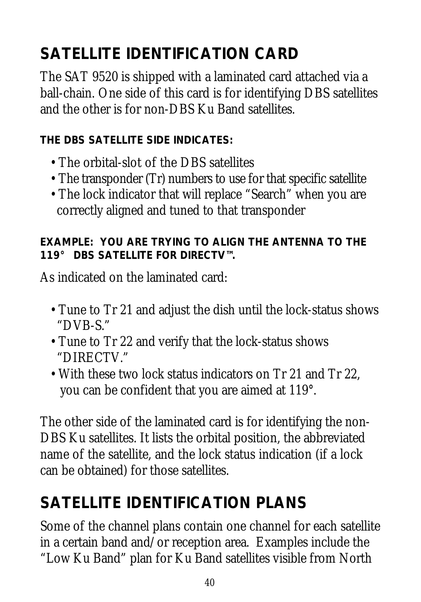## **SATELLITE IDENTIFICATION CARD**

The SAT 9520 is shipped with a laminated card attached via a ball-chain. One side of this card is for identifying DBS satellites and the other is for non-DBS Ku Band satellites.

#### **THE DBS SATELLITE SIDE INDICATES:**

- The orbital-slot of the DBS satellites
- The transponder (Tr) numbers to use for that specific satellite
- The lock indicator that will replace "Search" when you are correctly aligned and tuned to that transponder

#### **EXAMPLE: YOU ARE TRYING TO ALIGN THE ANTENNA TO THE 119° DBS SATELLITE FOR DIRECTV™.**

As indicated on the laminated card:

- Tune to Tr 21 and adjust the dish until the lock-status shows "DVB-S."
- Tune to Tr 22 and verify that the lock-status shows "DIRECTV."
- With these two lock status indicators on Tr 21 and Tr 22, you can be confident that you are aimed at 119°.

The other side of the laminated card is for identifying the non-DBS Ku satellites. It lists the orbital position, the abbreviated name of the satellite, and the lock status indication (if a lock can be obtained) for those satellites.

## **SATELLITE IDENTIFICATION PLANS**

Some of the channel plans contain one channel for each satellite in a certain band and/or reception area. Examples include the "Low Ku Band" plan for Ku Band satellites visible from North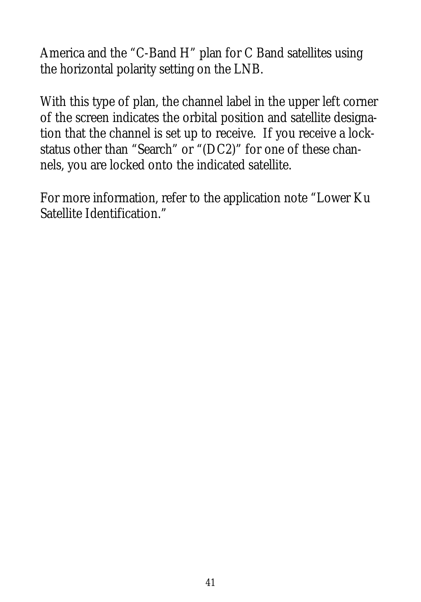America and the "C-Band H" plan for C Band satellites using the horizontal polarity setting on the LNB.

With this type of plan, the channel label in the upper left corner of the screen indicates the orbital position and satellite designation that the channel is set up to receive. If you receive a lockstatus other than "Search" or "(DC2)" for one of these channels, you are locked onto the indicated satellite.

For more information, refer to the application note "Lower Ku Satellite Identification."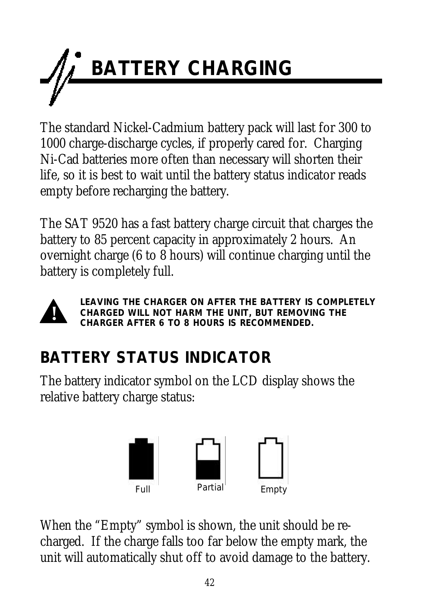

The standard Nickel-Cadmium battery pack will last for 300 to 1000 charge-discharge cycles, if properly cared for. Charging Ni-Cad batteries more often than necessary will shorten their life, so it is best to wait until the battery status indicator reads empty before recharging the battery.

The SAT 9520 has a fast battery charge circuit that charges the battery to 85 percent capacity in approximately 2 hours. An overnight charge (6 to 8 hours) will continue charging until the battery is completely full.



*LEAVING THE CHARGER ON AFTER THE BATTERY IS COMPLETELY CHARGED WILL NOT HARM THE UNIT, BUT REMOVING THE CHARGER AFTER 6 TO 8 HOURS IS RECOMMENDED.*

## **BATTERY STATUS INDICATOR**

The battery indicator symbol on the LCD display shows the relative battery charge status:



When the "Empty" symbol is shown, the unit should be recharged. If the charge falls too far below the empty mark, the unit will automatically shut off to avoid damage to the battery.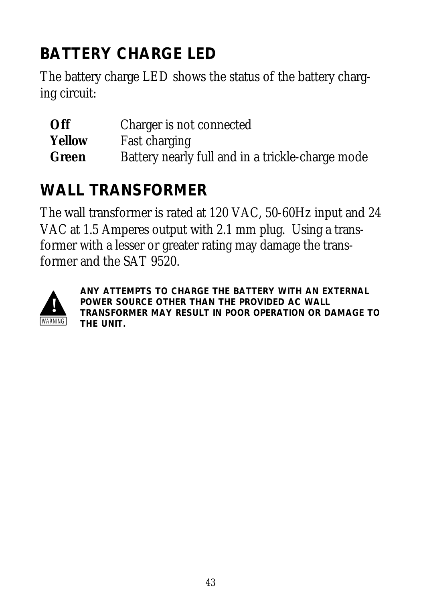## **BATTERY CHARGE LED**

The battery charge LED shows the status of the battery charging circuit:

| Off           | Charger is not connected                         |
|---------------|--------------------------------------------------|
| <b>Yellow</b> | <b>Fast charging</b>                             |
| Green         | Battery nearly full and in a trickle-charge mode |

## **WALL TRANSFORMER**

The wall transformer is rated at 120 VAC, 50-60Hz input and 24 VAC at 1.5 Amperes output with 2.1 mm plug. Using a transformer with a lesser or greater rating may damage the transformer and the SAT 9520.



*ANY ATTEMPTS TO CHARGE THE BATTERY WITH AN EXTERNAL POWER SOURCE OTHER THAN THE PROVIDED AC WALL TRANSFORMER MAY RESULT IN POOR OPERATION OR DAMAGE TO* **THE UNIT.**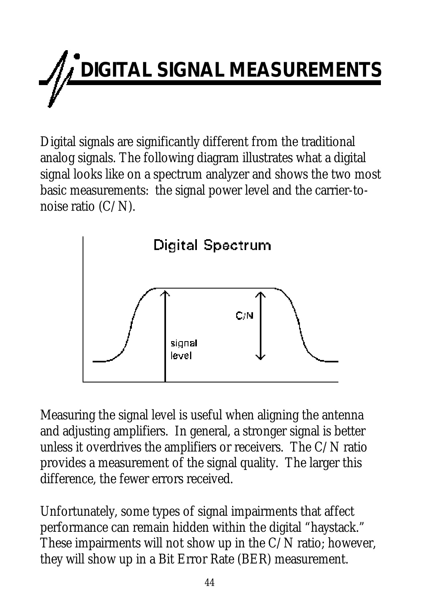# **IGITAL SIGNAL MEASUREMENTS**

Digital signals are significantly different from the traditional analog signals. The following diagram illustrates what a digital signal looks like on a spectrum analyzer and shows the two most basic measurements: the signal power level and the carrier-tonoise ratio (C/N).



Measuring the signal level is useful when aligning the antenna and adjusting amplifiers. In general, a stronger signal is better unless it overdrives the amplifiers or receivers. The C/N ratio provides a measurement of the signal quality. The larger this difference, the fewer errors received.

Unfortunately, some types of signal impairments that affect performance can remain hidden within the digital "haystack." These impairments will not show up in the C/N ratio; however, they will show up in a Bit Error Rate (BER) measurement.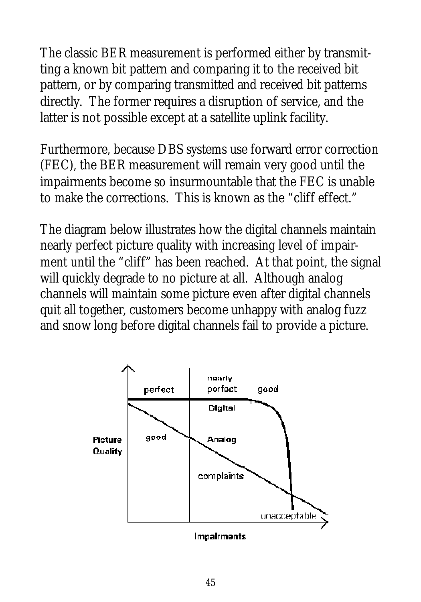The classic BER measurement is performed either by transmitting a known bit pattern and comparing it to the received bit pattern, or by comparing transmitted and received bit patterns directly. The former requires a disruption of service, and the latter is not possible except at a satellite uplink facility.

Furthermore, because DBS systems use forward error correction (FEC), the BER measurement will remain very good until the impairments become so insurmountable that the FEC is unable to make the corrections. This is known as the "cliff effect."

The diagram below illustrates how the digital channels maintain nearly perfect picture quality with increasing level of impairment until the "cliff" has been reached. At that point, the signal will quickly degrade to no picture at all. Although analog channels will maintain some picture even after digital channels quit all together, customers become unhappy with analog fuzz and snow long before digital channels fail to provide a picture.

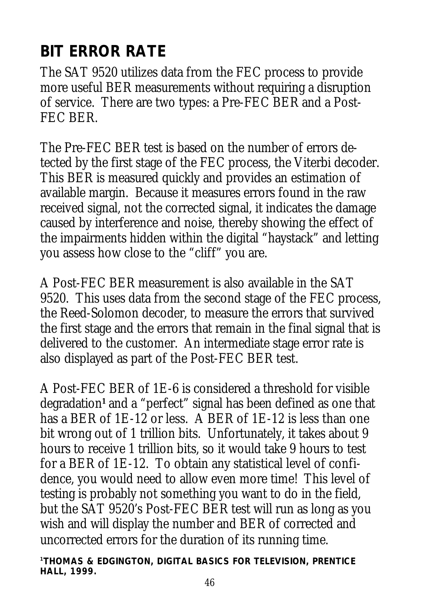## **BIT ERROR RATE**

The SAT 9520 utilizes data from the FEC process to provide more useful BER measurements without requiring a disruption of service. There are two types: a Pre-FEC BER and a Post-FEC BER.

The Pre-FEC BER test is based on the number of errors detected by the first stage of the FEC process, the Viterbi decoder. This BER is measured quickly and provides an estimation of available margin. Because it measures errors found in the raw received signal, not the corrected signal, it indicates the damage caused by interference and noise, thereby showing the effect of the impairments hidden within the digital "haystack" and letting you assess how close to the "cliff" you are.

A Post-FEC BER measurement is also available in the SAT 9520. This uses data from the second stage of the FEC process, the Reed-Solomon decoder, to measure the errors that survived the first stage and the errors that remain in the final signal that is delivered to the customer. An intermediate stage error rate is also displayed as part of the Post-FEC BER test.

A Post-FEC BER of 1E-6 is considered a threshold for visible degradation**<sup>1</sup>** and a "perfect" signal has been defined as one that has a BER of 1E-12 or less. A BER of 1E-12 is less than one bit wrong out of 1 trillion bits. Unfortunately, it takes about 9 hours to receive 1 trillion bits, so it would take 9 hours to test for a BER of 1E-12. To obtain any statistical level of confidence, you would need to allow even more time! This level of testing is probably not something you want to do in the field, but the SAT 9520's Post-FEC BER test will run as long as you wish and will display the number and BER of corrected and uncorrected errors for the duration of its running time.

*<sup>1</sup>THOMAS & EDGINGTON,* **DIGITAL BASICS FOR TELEVISION,** *PRENTICE HALL, 1999.*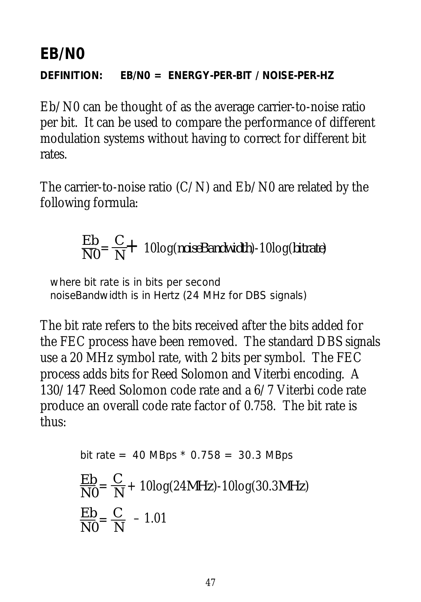#### **EB/N0**

**DEFINITION: EB/N0 = ENERGY-PER-BIT / NOISE-PER-HZ**

Eb/N0 can be thought of as the average carrier-to-noise ratio per bit. It can be used to compare the performance of different modulation systems without having to correct for different bit rates.

The carrier-to-noise ratio  $(C/N)$  and  $Eb/N0$  are related by the following formula:

$$
\frac{Eb}{N0} = \frac{C}{N} + 10\log(noiseBandwidth) - 10\log(bitrate)
$$

where bit rate is in bits per second noiseBandwidth is in Hertz (24 MHz for DBS signals)

The bit rate refers to the bits received after the bits added for the FEC process have been removed. The standard DBS signals use a 20 MHz symbol rate, with 2 bits per symbol. The FEC process adds bits for Reed Solomon and Viterbi encoding. A 130/147 Reed Solomon code rate and a 6/7 Viterbi code rate produce an overall code rate factor of 0.758. The bit rate is thus:

bit rate = 40 MBps \* 0.758 = 30.3 MBps  
\n
$$
\frac{Eb}{N0} = \frac{C}{N} + 10\log(24MHz) - 10\log(30.3MHz)
$$
\n
$$
\frac{Eb}{N0} = \frac{C}{N} - 1.01
$$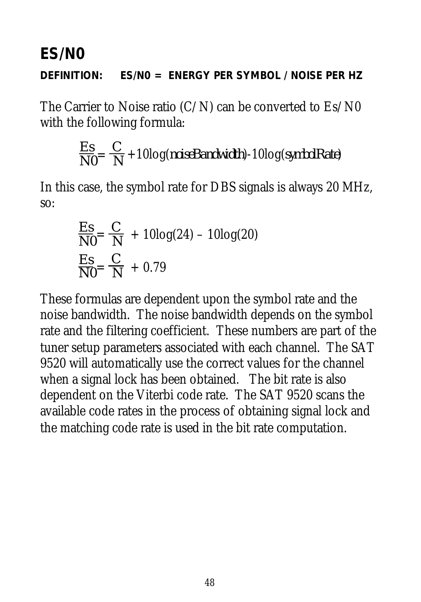#### **ES/N0**

#### **DEFINITION: ES/N0 = ENERGY PER SYMBOL / NOISE PER HZ**

The Carrier to Noise ratio  $(C/N)$  can be converted to  $Es/N0$ with the following formula:

$$
\frac{Es}{N0} = \frac{C}{N} + 10\log(noiseBandwidth) - 10\log(symbolRate)
$$

In this case, the symbol rate for DBS signals is always 20 MHz, so:

$$
\frac{Es}{N0} = \frac{C}{N} + 10\log(24) - 10\log(20)
$$
  

$$
\frac{Es}{N0} = \frac{C}{N} + 0.79
$$

These formulas are dependent upon the symbol rate and the noise bandwidth. The noise bandwidth depends on the symbol rate and the filtering coefficient. These numbers are part of the tuner setup parameters associated with each channel. The SAT 9520 will automatically use the correct values for the channel when a signal lock has been obtained. The bit rate is also dependent on the Viterbi code rate. The SAT 9520 scans the available code rates in the process of obtaining signal lock and the matching code rate is used in the bit rate computation.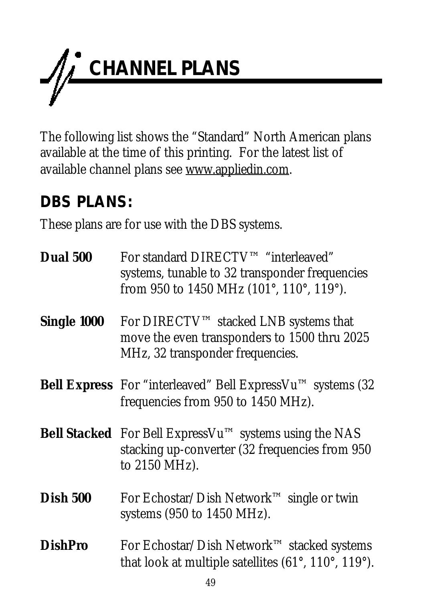

The following list shows the "Standard" North American plans available at the time of this printing. For the latest list of available channel plans see www.appliedin.com.

#### **DBS PLANS:**

These plans are for use with the DBS systems.

| <b>Dual 500</b> | For standard DIRECTV™ "interleaved"<br>systems, tunable to 32 transponder frequencies<br>from 950 to 1450 MHz (101°, 110°, 119°). |
|-----------------|-----------------------------------------------------------------------------------------------------------------------------------|
| Single 1000     | For DIRECTV™ stacked LNB systems that<br>move the even transponders to 1500 thru 2025<br>MHz, 32 transponder frequencies.         |
|                 | <b>Bell Express</b> For "interleaved" Bell Express Vu <sup>TM</sup> systems (32)<br>frequencies from 950 to 1450 MHz).            |
|                 | <b>Bell Stacked</b> For Bell ExpressVu™ systems using the NAS<br>stacking up-converter (32 frequencies from 950<br>to 2150 MHz).  |
| <b>Dish 500</b> | For Echostar/Dish Network <sup>TM</sup> single or twin<br>systems $(950 \text{ to } 1450 \text{ MHz})$ .                          |
| <b>DishPro</b>  | For Echostar/Dish Network™ stacked systems<br>that look at multiple satellites (61°, 110°, 119°).                                 |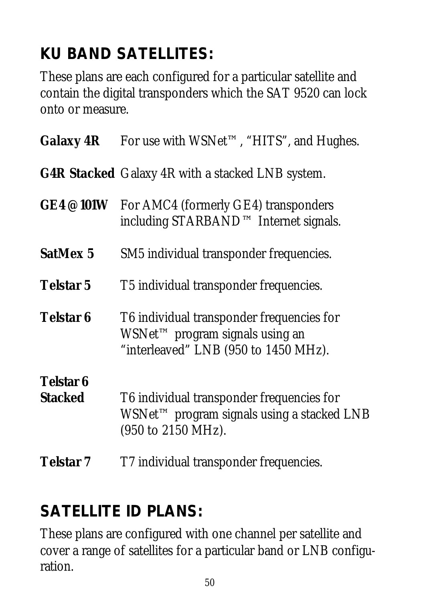## **KU BAND SATELLITES:**

These plans are each configured for a particular satellite and contain the digital transponders which the SAT 9520 can lock onto or measure.

| <b>Galaxy 4R</b>                   | For use with WSNet™, "HITS", and Hughes.                                                                                         |
|------------------------------------|----------------------------------------------------------------------------------------------------------------------------------|
|                                    | <b>G4R Stacked</b> Galaxy 4R with a stacked LNB system.                                                                          |
| <b>GE4@101W</b>                    | For AMC4 (formerly GE4) transponders<br>including STARBAND™ Internet signals.                                                    |
| <b>SatMex 5</b>                    | SM5 individual transponder frequencies.                                                                                          |
| <b>Telstar 5</b>                   | T5 individual transponder frequencies.                                                                                           |
| <b>Telstar 6</b>                   | T6 individual transponder frequencies for<br>WSNet <sup>™</sup> program signals using an<br>"interleaved" LNB (950 to 1450 MHz). |
| <b>Telstar 6</b><br><b>Stacked</b> | T6 individual transponder frequencies for<br>WSNet™ program signals using a stacked LNB<br>(950 to 2150 MHz).                    |
| <b>Telstar</b> 7                   | T7 individual transponder frequencies.                                                                                           |

## **SATELLITE ID PLANS:**

These plans are configured with one channel per satellite and cover a range of satellites for a particular band or LNB configuration.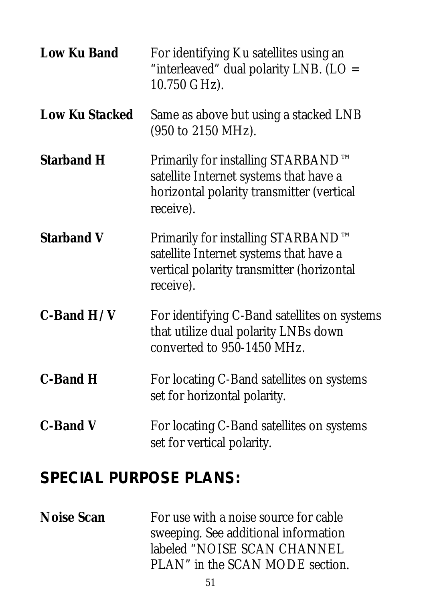| <b>Low Ku Band</b>    | For identifying Ku satellites using an<br>"interleaved" dual polarity LNB. (LO =<br>10.750 GHz).                                       |
|-----------------------|----------------------------------------------------------------------------------------------------------------------------------------|
| <b>Low Ku Stacked</b> | Same as above but using a stacked LNB<br>(950 to 2150 MHz).                                                                            |
| <b>Starband H</b>     | Primarily for installing STARBAND™<br>satellite Internet systems that have a<br>horizontal polarity transmitter (vertical<br>receive). |
| <b>Starband V</b>     | Primarily for installing STARBAND™<br>satellite Internet systems that have a<br>vertical polarity transmitter (horizontal<br>receive). |
| $C$ -Band $H/V$       | For identifying C-Band satellites on systems<br>that utilize dual polarity LNBs down<br>converted to 950-1450 MHz.                     |
| <b>C-Band H</b>       | For locating C-Band satellites on systems<br>set for horizontal polarity.                                                              |
| <b>C-Band V</b>       | For locating C-Band satellites on systems<br>set for vertical polarity.                                                                |

#### **SPECIAL PURPOSE PLANS:**

**Noise Scan** For use with a noise source for cable sweeping. See additional information labeled "NOISE SCAN CHANNEL PLAN" in the SCAN MODE section.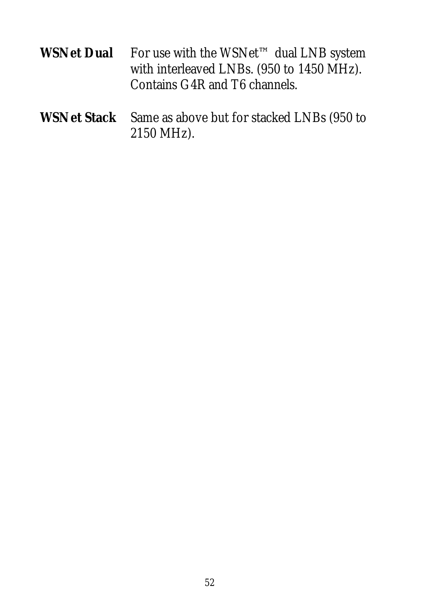| For use with the WSNet <sup>TM</sup> dual LNB system |
|------------------------------------------------------|
| with interleaved LNBs. (950 to 1450 MHz).            |
| Contains G4R and T6 channels.                        |
|                                                      |

**WSNet Stack** Same as above but for stacked LNBs (950 to 2150 MHz).